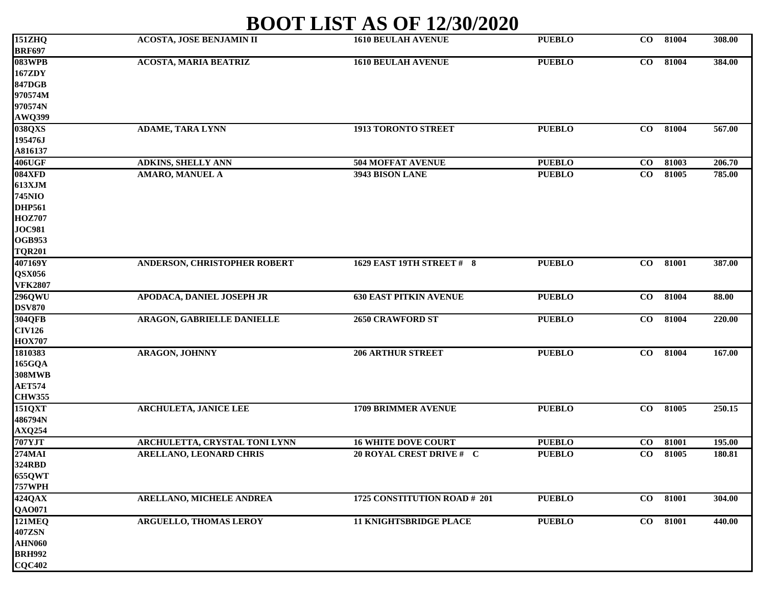## **BOOT LIST AS OF 12/30/2020**

| 151ZHQ         | <b>ACOSTA, JOSE BENJAMIN II</b>      | <b>1610 BEULAH AVENUE</b>     | <b>PUEBLO</b> | $\bf{CO}$ | 81004 | 308.00 |
|----------------|--------------------------------------|-------------------------------|---------------|-----------|-------|--------|
| <b>BRF697</b>  |                                      |                               |               |           |       |        |
| 083WPB         | <b>ACOSTA, MARIA BEATRIZ</b>         | <b>1610 BEULAH AVENUE</b>     | <b>PUEBLO</b> | $\bf{CO}$ | 81004 | 384.00 |
| <b>167ZDY</b>  |                                      |                               |               |           |       |        |
| <b>847DGB</b>  |                                      |                               |               |           |       |        |
| 970574M        |                                      |                               |               |           |       |        |
| 970574N        |                                      |                               |               |           |       |        |
| AWQ399         |                                      |                               |               |           |       |        |
| 038QXS         | <b>ADAME, TARA LYNN</b>              | 1913 TORONTO STREET           | <b>PUEBLO</b> | $\bf CO$  | 81004 | 567.00 |
| 195476J        |                                      |                               |               |           |       |        |
| A816137        |                                      |                               |               |           |       |        |
| <b>406UGF</b>  | <b>ADKINS, SHELLY ANN</b>            | <b>504 MOFFAT AVENUE</b>      | <b>PUEBLO</b> | $\bf CO$  | 81003 | 206.70 |
| 084XFD         | <b>AMARO, MANUEL A</b>               | 3943 BISON LANE               | <b>PUEBLO</b> | $\bf CO$  | 81005 | 785.00 |
| 613XJM         |                                      |                               |               |           |       |        |
| <b>745NIO</b>  |                                      |                               |               |           |       |        |
| <b>DHP561</b>  |                                      |                               |               |           |       |        |
| <b>HOZ707</b>  |                                      |                               |               |           |       |        |
| <b>JOC981</b>  |                                      |                               |               |           |       |        |
| <b>OGB953</b>  |                                      |                               |               |           |       |        |
| <b>TQR201</b>  |                                      |                               |               |           |       |        |
| 407169Y        | ANDERSON, CHRISTOPHER ROBERT         | 1629 EAST 19TH STREET # 8     | <b>PUEBLO</b> | $\bf CO$  | 81001 | 387.00 |
| <b>QSX056</b>  |                                      |                               |               |           |       |        |
| <b>VFK2807</b> |                                      |                               |               |           |       |        |
| 296QWU         | APODACA, DANIEL JOSEPH JR            | <b>630 EAST PITKIN AVENUE</b> | <b>PUEBLO</b> | $\bf{CO}$ | 81004 | 88.00  |
| <b>DSV870</b>  |                                      |                               |               |           |       |        |
| <b>304QFB</b>  | <b>ARAGON, GABRIELLE DANIELLE</b>    | <b>2650 CRAWFORD ST</b>       | <b>PUEBLO</b> | $\bf{CO}$ | 81004 | 220.00 |
| <b>CIV126</b>  |                                      |                               |               |           |       |        |
| <b>HOX707</b>  |                                      |                               |               |           |       |        |
| 1810383        | <b>ARAGON, JOHNNY</b>                | <b>206 ARTHUR STREET</b>      | <b>PUEBLO</b> | $\bf{CO}$ | 81004 | 167.00 |
| 165GQA         |                                      |                               |               |           |       |        |
| <b>308MWB</b>  |                                      |                               |               |           |       |        |
| <b>AET574</b>  |                                      |                               |               |           |       |        |
| <b>CHW355</b>  |                                      |                               |               |           |       |        |
| 151QXT         | <b>ARCHULETA, JANICE LEE</b>         | <b>1709 BRIMMER AVENUE</b>    | <b>PUEBLO</b> | $\bf{CO}$ | 81005 | 250.15 |
| 486794N        |                                      |                               |               |           |       |        |
| <b>AXQ254</b>  |                                      |                               |               |           |       |        |
| <b>707YJT</b>  | <b>ARCHULETTA, CRYSTAL TONI LYNN</b> | <b>16 WHITE DOVE COURT</b>    | <b>PUEBLO</b> | $\bf CO$  | 81001 | 195.00 |
| 274MAI         | <b>ARELLANO, LEONARD CHRIS</b>       | 20 ROYAL CREST DRIVE # C      | <b>PUEBLO</b> | $\bf CO$  | 81005 | 180.81 |
| 324RBD         |                                      |                               |               |           |       |        |
| <b>655QWT</b>  |                                      |                               |               |           |       |        |
| <b>757WPH</b>  |                                      |                               |               |           |       |        |
| 424QAX         | ARELLANO, MICHELE ANDREA             | 1725 CONSTITUTION ROAD # 201  | <b>PUEBLO</b> | $\bf CO$  | 81001 | 304.00 |
| <b>QAO071</b>  |                                      |                               |               |           |       |        |
|                | <b>ARGUELLO, THOMAS LEROY</b>        |                               | <b>PUEBLO</b> |           |       |        |
| <b>121MEQ</b>  |                                      | <b>11 KNIGHTSBRIDGE PLACE</b> |               | $\bf CO$  | 81001 | 440.00 |
| <b>407ZSN</b>  |                                      |                               |               |           |       |        |
| <b>AHN060</b>  |                                      |                               |               |           |       |        |
| <b>BRH992</b>  |                                      |                               |               |           |       |        |
| <b>CQC402</b>  |                                      |                               |               |           |       |        |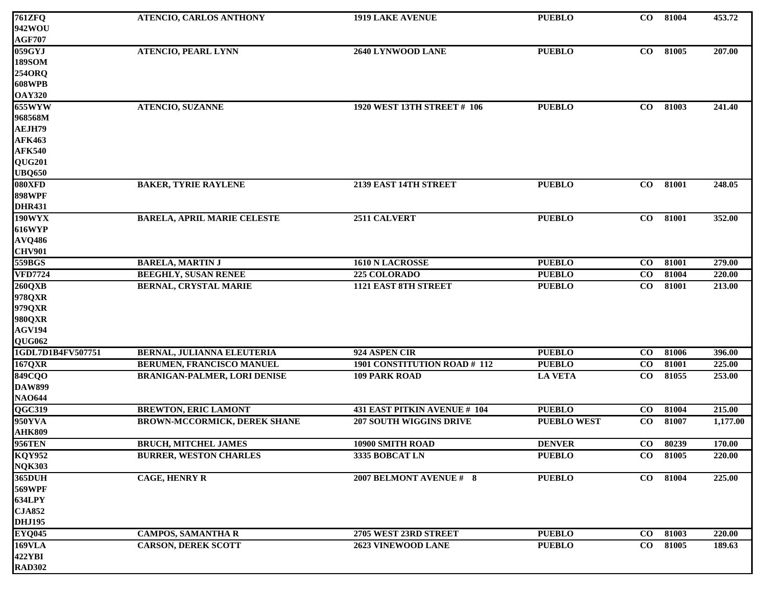| <b>761ZFQ</b>            | ATENCIO, CARLOS ANTHONY             | <b>1919 LAKE AVENUE</b>        | <b>PUEBLO</b>      | $\bf{CO}$       | 81004 | 453.72   |
|--------------------------|-------------------------------------|--------------------------------|--------------------|-----------------|-------|----------|
| 942WOU                   |                                     |                                |                    |                 |       |          |
| <b>AGF707</b>            |                                     |                                |                    |                 |       |          |
| 059GYJ                   | <b>ATENCIO, PEARL LYNN</b>          | 2640 LYNWOOD LANE              | <b>PUEBLO</b>      | $\bf CO$        | 81005 | 207.00   |
| <b>189SOM</b>            |                                     |                                |                    |                 |       |          |
| 254ORQ                   |                                     |                                |                    |                 |       |          |
| <b>608WPB</b>            |                                     |                                |                    |                 |       |          |
| <b>OAY320</b>            |                                     |                                |                    |                 |       |          |
| 655WWW                   | <b>ATENCIO, SUZANNE</b>             | 1920 WEST 13TH STREET # 106    | <b>PUEBLO</b>      | $\bf{CO}$       | 81003 | 241.40   |
| 968568M                  |                                     |                                |                    |                 |       |          |
| AEJH79                   |                                     |                                |                    |                 |       |          |
| <b>AFK463</b>            |                                     |                                |                    |                 |       |          |
| <b>AFK540</b>            |                                     |                                |                    |                 |       |          |
| QUG201                   |                                     |                                |                    |                 |       |          |
| <b>UBQ650</b>            |                                     |                                |                    |                 |       |          |
| 080XFD                   | <b>BAKER, TYRIE RAYLENE</b>         | 2139 EAST 14TH STREET          | <b>PUEBLO</b>      | CO              | 81001 | 248.05   |
| <b>898WPF</b>            |                                     |                                |                    |                 |       |          |
| <b>DHR431</b>            |                                     |                                |                    |                 |       |          |
| 190WYX                   | <b>BARELA, APRIL MARIE CELESTE</b>  | 2511 CALVERT                   | <b>PUEBLO</b>      | $\bf{CO}$       | 81001 | 352.00   |
| <b>616WYP</b>            |                                     |                                |                    |                 |       |          |
| <b>AVQ486</b>            |                                     |                                |                    |                 |       |          |
| <b>CHV901</b>            |                                     |                                |                    |                 |       |          |
| 559BGS                   | <b>BARELA, MARTIN J</b>             | 1610 N LACROSSE                | <b>PUEBLO</b>      | $\bf CO$        | 81001 | 279.00   |
| <b>VFD7724</b>           | <b>BEEGHLY, SUSAN RENEE</b>         | 225 COLORADO                   | <b>PUEBLO</b>      | $\bf CO$        | 81004 | 220.00   |
| 260QXB                   | <b>BERNAL, CRYSTAL MARIE</b>        | <b>1121 EAST 8TH STREET</b>    | <b>PUEBLO</b>      | $\bf{CO}$       | 81001 | 213.00   |
| 978QXR                   |                                     |                                |                    |                 |       |          |
| 979QXR                   |                                     |                                |                    |                 |       |          |
| <b>980QXR</b>            |                                     |                                |                    |                 |       |          |
| <b>AGV194</b>            |                                     |                                |                    |                 |       |          |
| QUG062                   |                                     |                                |                    |                 |       |          |
| 1GDL7D1B4FV507751        | BERNAL, JULIANNA ELEUTERIA          | 924 ASPEN CIR                  | <b>PUEBLO</b>      | $\bf{CO}$       | 81006 | 396.00   |
| 167QXR                   | BERUMEN, FRANCISCO MANUEL           | 1901 CONSTITUTION ROAD # 112   | <b>PUEBLO</b>      | $\bf CO$        | 81001 | 225.00   |
| <b>849CQO</b>            | <b>BRANIGAN-PALMER, LORI DENISE</b> | <b>109 PARK ROAD</b>           | <b>LA VETA</b>     | $\bf{CO}$       | 81055 | 253.00   |
| <b>DAW899</b>            |                                     |                                |                    |                 |       |          |
| <b>NAO644</b>            |                                     |                                |                    |                 |       |          |
| QGC319                   | <b>BREWTON, ERIC LAMONT</b>         | 431 EAST PITKIN AVENUE # 104   | <b>PUEBLO</b>      | $\bf CO$        | 81004 | 215.00   |
| 950YVA                   | BROWN-MCCORMICK, DEREK SHANE        | <b>207 SOUTH WIGGINS DRIVE</b> | <b>PUEBLO WEST</b> | $\bf{CO}$       | 81007 | 1,177.00 |
|                          |                                     |                                |                    |                 |       |          |
| <b>AHK809<br/>956TEN</b> | <b>BRUCH, MITCHEL JAMES</b>         | 10900 SMITH ROAD               | <b>DENVER</b>      | $\overline{co}$ | 80239 | 170.00   |
| <b>KQY952</b>            | <b>BURRER, WESTON CHARLES</b>       | 3335 BOBCAT LN                 | <b>PUEBLO</b>      | $\bf{CO}$       | 81005 | 220.00   |
|                          |                                     |                                |                    |                 |       |          |
| <b>NQK303</b><br>365DUH  | <b>CAGE, HENRY R</b>                | 2007 BELMONT AVENUE # 8        | <b>PUEBLO</b>      | $\bf{CO}$       | 81004 | 225.00   |
| <b>569WPF</b>            |                                     |                                |                    |                 |       |          |
| <b>634LPY</b>            |                                     |                                |                    |                 |       |          |
| <b>CJA852</b>            |                                     |                                |                    |                 |       |          |
| <b>DHJ195</b>            |                                     |                                |                    |                 |       |          |
| <b>EYQ045</b>            | <b>CAMPOS, SAMANTHA R</b>           | 2705 WEST 23RD STREET          | <b>PUEBLO</b>      | $\bf CO$        | 81003 | 220.00   |
| <b>169VLA</b>            | <b>CARSON, DEREK SCOTT</b>          | 2623 VINEWOOD LANE             | <b>PUEBLO</b>      | $\bf{CO}$       | 81005 | 189.63   |
| 422YBI                   |                                     |                                |                    |                 |       |          |
| <b>RAD302</b>            |                                     |                                |                    |                 |       |          |
|                          |                                     |                                |                    |                 |       |          |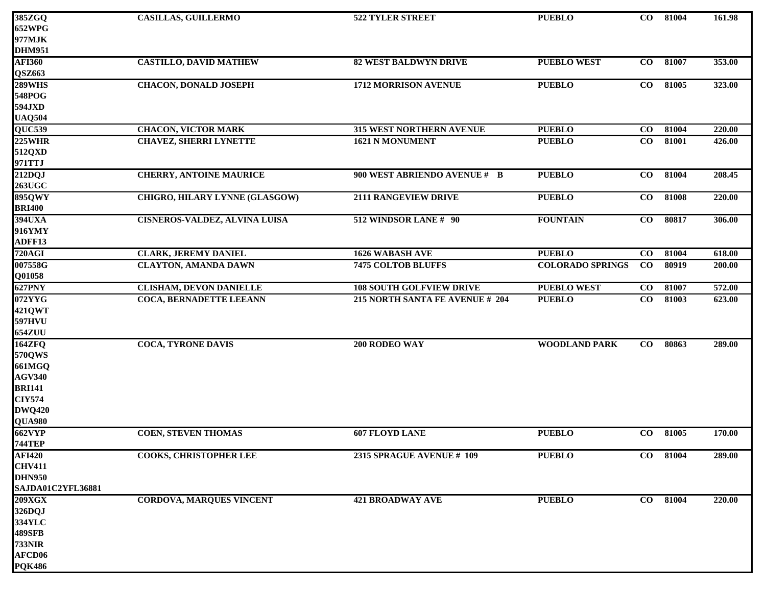| 385ZGQ            | <b>CASILLAS, GUILLERMO</b>           | 522 TYLER STREET                | <b>PUEBLO</b>           | $\bf{CO}$       | 81004 | 161.98 |
|-------------------|--------------------------------------|---------------------------------|-------------------------|-----------------|-------|--------|
| <b>652WPG</b>     |                                      |                                 |                         |                 |       |        |
| 977MJK            |                                      |                                 |                         |                 |       |        |
| <b>DHM951</b>     |                                      |                                 |                         |                 |       |        |
| <b>AFI360</b>     | <b>CASTILLO, DAVID MATHEW</b>        | <b>82 WEST BALDWYN DRIVE</b>    | <b>PUEBLO WEST</b>      | $\bf{CO}$       | 81007 | 353.00 |
| QSZ663            |                                      |                                 |                         |                 |       |        |
| <b>289WHS</b>     | <b>CHACON, DONALD JOSEPH</b>         | <b>1712 MORRISON AVENUE</b>     | <b>PUEBLO</b>           | $\bf{CO}$       | 81005 | 323.00 |
| 548POG            |                                      |                                 |                         |                 |       |        |
| 594JXD            |                                      |                                 |                         |                 |       |        |
| <b>UAQ504</b>     |                                      |                                 |                         |                 |       |        |
| QUC539            | <b>CHACON, VICTOR MARK</b>           | <b>315 WEST NORTHERN AVENUE</b> | <b>PUEBLO</b>           | $\overline{co}$ | 81004 | 220.00 |
| <b>225WHR</b>     | <b>CHAVEZ, SHERRI LYNETTE</b>        | 1621 N MONUMENT                 | <b>PUEBLO</b>           | $\overline{co}$ | 81001 | 426.00 |
| 512QXD            |                                      |                                 |                         |                 |       |        |
| 971TTJ            |                                      |                                 |                         |                 |       |        |
| 212DQJ            | <b>CHERRY, ANTOINE MAURICE</b>       | 900 WEST ABRIENDO AVENUE # B    | <b>PUEBLO</b>           | $\bf{CO}$       | 81004 | 208.45 |
| <b>263UGC</b>     |                                      |                                 |                         |                 |       |        |
| <b>895QWY</b>     | CHIGRO, HILARY LYNNE (GLASGOW)       | 2111 RANGEVIEW DRIVE            | <b>PUEBLO</b>           | $\bf{CO}$       | 81008 | 220.00 |
| <b>BRI400</b>     |                                      |                                 |                         |                 |       |        |
| 394UXA            | <b>CISNEROS-VALDEZ, ALVINA LUISA</b> | 512 WINDSOR LANE # 90           | <b>FOUNTAIN</b>         | $\bf{CO}$       | 80817 | 306.00 |
| 916YMY            |                                      |                                 |                         |                 |       |        |
| ADFF13            |                                      |                                 |                         |                 |       |        |
| <b>720AGI</b>     | <b>CLARK, JEREMY DANIEL</b>          | <b>1626 WABASH AVE</b>          | <b>PUEBLO</b>           | CO              | 81004 | 618.00 |
| 007558G           | <b>CLAYTON, AMANDA DAWN</b>          | <b>7475 COLTOB BLUFFS</b>       | <b>COLORADO SPRINGS</b> | $\bf{CO}$       | 80919 | 200.00 |
| Q01058            |                                      |                                 |                         |                 |       |        |
| 627PNY            | <b>CLISHAM, DEVON DANIELLE</b>       | <b>108 SOUTH GOLFVIEW DRIVE</b> | <b>PUEBLO WEST</b>      | $\bf{CO}$       | 81007 | 572.00 |
| 072YYG            | COCA, BERNADETTE LEEANN              | 215 NORTH SANTA FE AVENUE # 204 | <b>PUEBLO</b>           | $\bf CO$        | 81003 | 623.00 |
| <b>421QWT</b>     |                                      |                                 |                         |                 |       |        |
| <b>597HVU</b>     |                                      |                                 |                         |                 |       |        |
| <b>654ZUU</b>     |                                      |                                 |                         |                 |       |        |
| <b>164ZFQ</b>     | <b>COCA, TYRONE DAVIS</b>            | 200 RODEO WAY                   | <b>WOODLAND PARK</b>    | $\bf CO$        | 80863 | 289.00 |
| 570QWS            |                                      |                                 |                         |                 |       |        |
| <b>661MGQ</b>     |                                      |                                 |                         |                 |       |        |
| <b>AGV340</b>     |                                      |                                 |                         |                 |       |        |
| <b>BRI141</b>     |                                      |                                 |                         |                 |       |        |
| <b>CIY574</b>     |                                      |                                 |                         |                 |       |        |
| <b>DWQ420</b>     |                                      |                                 |                         |                 |       |        |
| <b>QUA980</b>     |                                      |                                 |                         |                 |       |        |
| <b>662VYP</b>     | <b>COEN, STEVEN THOMAS</b>           | <b>607 FLOYD LANE</b>           | <b>PUEBLO</b>           | $\bf{CO}$       | 81005 | 170.00 |
| <b>744TEP</b>     |                                      |                                 |                         |                 |       |        |
| <b>AFI420</b>     | COOKS, CHRISTOPHER LEE               | 2315 SPRAGUE AVENUE # 109       | <b>PUEBLO</b>           | $\bf CO$        | 81004 | 289.00 |
| <b>CHV411</b>     |                                      |                                 |                         |                 |       |        |
| <b>DHN950</b>     |                                      |                                 |                         |                 |       |        |
| SAJDA01C2YFL36881 |                                      |                                 |                         |                 |       |        |
| 209XGX            | <b>CORDOVA, MARQUES VINCENT</b>      | <b>421 BROADWAY AVE</b>         | <b>PUEBLO</b>           | $\bf{CO}$       | 81004 | 220.00 |
| 326DQJ            |                                      |                                 |                         |                 |       |        |
| 334YLC            |                                      |                                 |                         |                 |       |        |
| 489SFB            |                                      |                                 |                         |                 |       |        |
| <b>733NIR</b>     |                                      |                                 |                         |                 |       |        |
| <b>AFCD06</b>     |                                      |                                 |                         |                 |       |        |
| <b>PQK486</b>     |                                      |                                 |                         |                 |       |        |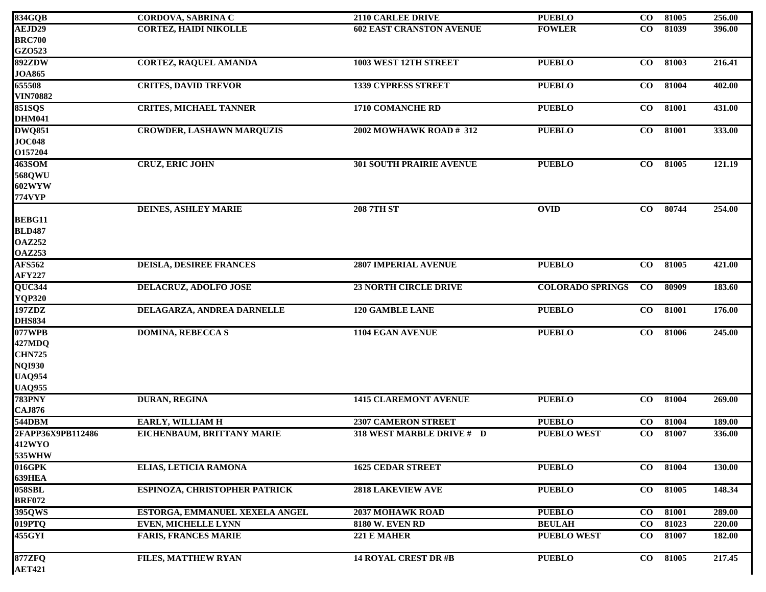| 834GQB            | <b>CORDOVA, SABRINA C</b>        | <b>2110 CARLEE DRIVE</b>        | <b>PUEBLO</b>           | $\overline{co}$ | 81005 | 256.00 |
|-------------------|----------------------------------|---------------------------------|-------------------------|-----------------|-------|--------|
| AEJD29            | <b>CORTEZ, HAIDI NIKOLLE</b>     | <b>602 EAST CRANSTON AVENUE</b> | <b>FOWLER</b>           | $\bf{CO}$       | 81039 | 396.00 |
| <b>BRC700</b>     |                                  |                                 |                         |                 |       |        |
| GZ0523            |                                  |                                 |                         |                 |       |        |
| <b>892ZDW</b>     | <b>CORTEZ, RAQUEL AMANDA</b>     | 1003 WEST 12TH STREET           | <b>PUEBLO</b>           | $\bf{CO}$       | 81003 | 216.41 |
| <b>JOA865</b>     |                                  |                                 |                         |                 |       |        |
| 655508            | <b>CRITES, DAVID TREVOR</b>      | <b>1339 CYPRESS STREET</b>      | <b>PUEBLO</b>           | $\bf CO$        | 81004 | 402.00 |
| <b>VIN70882</b>   |                                  |                                 |                         |                 |       |        |
| <b>851SQS</b>     | <b>CRITES, MICHAEL TANNER</b>    | <b>1710 COMANCHE RD</b>         | <b>PUEBLO</b>           | $\bf{CO}$       | 81001 | 431.00 |
| <b>DHM041</b>     |                                  |                                 |                         |                 |       |        |
| <b>DWQ851</b>     | <b>CROWDER, LASHAWN MARQUZIS</b> | 2002 MOWHAWK ROAD # 312         | <b>PUEBLO</b>           | $\bf CO$        | 81001 | 333.00 |
| <b>JOC048</b>     |                                  |                                 |                         |                 |       |        |
| O157204           |                                  |                                 |                         |                 |       |        |
| 463SOM            | <b>CRUZ, ERIC JOHN</b>           | <b>301 SOUTH PRAIRIE AVENUE</b> | <b>PUEBLO</b>           | $\overline{co}$ | 81005 | 121.19 |
| 568QWU            |                                  |                                 |                         |                 |       |        |
| 602WYW            |                                  |                                 |                         |                 |       |        |
| <b>774VYP</b>     |                                  |                                 |                         |                 |       |        |
|                   | <b>DEINES, ASHLEY MARIE</b>      | <b>208 7TH ST</b>               | <b>OVID</b>             | $\bf CO$        | 80744 | 254.00 |
| <b>BEBG11</b>     |                                  |                                 |                         |                 |       |        |
| <b>BLD487</b>     |                                  |                                 |                         |                 |       |        |
| <b>OAZ252</b>     |                                  |                                 |                         |                 |       |        |
| <b>OAZ253</b>     |                                  |                                 |                         |                 |       |        |
| <b>AFS562</b>     | <b>DEISLA, DESIREE FRANCES</b>   | <b>2807 IMPERIAL AVENUE</b>     | <b>PUEBLO</b>           | CO              | 81005 | 421.00 |
| <b>AFY227</b>     |                                  |                                 |                         |                 |       |        |
| QUC344            | DELACRUZ, ADOLFO JOSE            | <b>23 NORTH CIRCLE DRIVE</b>    | <b>COLORADO SPRINGS</b> | $\bf CO$        | 80909 | 183.60 |
| <b>YQP320</b>     |                                  |                                 |                         |                 |       |        |
| 197ZDZ            | DELAGARZA, ANDREA DARNELLE       | <b>120 GAMBLE LANE</b>          | <b>PUEBLO</b>           | CO              | 81001 | 176.00 |
| <b>DHS834</b>     |                                  |                                 |                         |                 |       |        |
| 077WPB            | <b>DOMINA, REBECCA S</b>         | 1104 EGAN AVENUE                | <b>PUEBLO</b>           | $\bf CO$        | 81006 | 245.00 |
| 427MDQ            |                                  |                                 |                         |                 |       |        |
| <b>CHN725</b>     |                                  |                                 |                         |                 |       |        |
| <b>NQI930</b>     |                                  |                                 |                         |                 |       |        |
| <b>UAQ954</b>     |                                  |                                 |                         |                 |       |        |
| <b>UAQ955</b>     |                                  |                                 |                         |                 |       |        |
| <b>783PNY</b>     | DURAN, REGINA                    | <b>1415 CLAREMONT AVENUE</b>    | <b>PUEBLO</b>           | CO              | 81004 | 269.00 |
| <b>CAJ876</b>     |                                  |                                 |                         |                 |       |        |
| 544DBM            | <b>EARLY, WILLIAM H</b>          | <b>2307 CAMERON STREET</b>      | <b>PUEBLO</b>           | $\bf CO$        | 81004 | 189.00 |
| 2FAPP36X9PB112486 | EICHENBAUM, BRITTANY MARIE       | 318 WEST MARBLE DRIVE # D       | <b>PUEBLO WEST</b>      | $\bf CO$        | 81007 | 336.00 |
| <b>412WYO</b>     |                                  |                                 |                         |                 |       |        |
| 535WHW            |                                  |                                 |                         |                 |       |        |
| 016GPK            | ELIAS, LETICIA RAMONA            | <b>1625 CEDAR STREET</b>        | <b>PUEBLO</b>           | $\bf CO$        | 81004 | 130.00 |
| 639HEA            |                                  |                                 |                         |                 |       |        |
| <b>058SBL</b>     | ESPINOZA, CHRISTOPHER PATRICK    | <b>2818 LAKEVIEW AVE</b>        | <b>PUEBLO</b>           | $\bf{CO}$       | 81005 | 148.34 |
| <b>BRF072</b>     |                                  |                                 |                         |                 |       |        |
| 395QWS            | ESTORGA, EMMANUEL XEXELA ANGEL   | 2037 MOHAWK ROAD                | <b>PUEBLO</b>           | $\bf{CO}$       | 81001 | 289.00 |
| 019PTQ            | <b>EVEN, MICHELLE LYNN</b>       | <b>8180 W. EVEN RD</b>          | <b>BEULAH</b>           | $\bf{CO}$       | 81023 | 220.00 |
| 455GYI            | <b>FARIS, FRANCES MARIE</b>      | 221 E MAHER                     | <b>PUEBLO WEST</b>      | $\bf CO$        | 81007 | 182.00 |
|                   |                                  |                                 |                         |                 |       |        |
| <b>877ZFQ</b>     | <b>FILES, MATTHEW RYAN</b>       | <b>14 ROYAL CREST DR #B</b>     | <b>PUEBLO</b>           | $\bf{CO}$       | 81005 | 217.45 |
| <b>AET421</b>     |                                  |                                 |                         |                 |       |        |
|                   |                                  |                                 |                         |                 |       |        |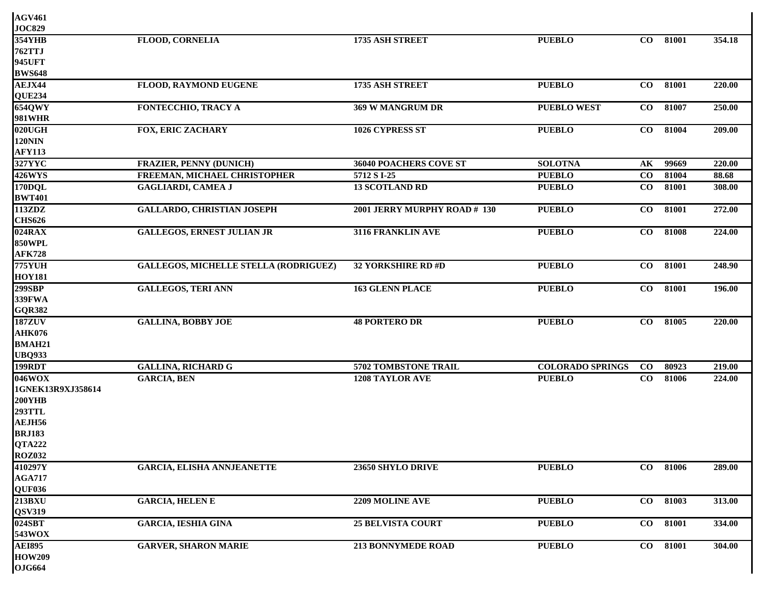| <b>AGV461</b>     |                                              |                              |                         |               |          |        |
|-------------------|----------------------------------------------|------------------------------|-------------------------|---------------|----------|--------|
| <b>JOC829</b>     |                                              |                              |                         |               |          |        |
| <b>354YHB</b>     | <b>FLOOD, CORNELIA</b>                       | 1735 ASH STREET              | <b>PUEBLO</b>           | CO            | 81001    | 354.18 |
| <b>762TTJ</b>     |                                              |                              |                         |               |          |        |
| <b>945UFT</b>     |                                              |                              |                         |               |          |        |
| <b>BWS648</b>     |                                              |                              |                         |               |          |        |
| AEJX44            | FLOOD, RAYMOND EUGENE                        | 1735 ASH STREET              | <b>PUEBLO</b>           | $\bf{CO}$     | 81001    | 220.00 |
| <b>QUE234</b>     |                                              |                              |                         |               |          |        |
| <b>654QWY</b>     | FONTECCHIO, TRACY A                          | 369 W MANGRUM DR             | <b>PUEBLO WEST</b>      | $\bf CO$      | 81007    | 250.00 |
| <b>981WHR</b>     |                                              |                              |                         |               |          |        |
| $020 \text{UGH}$  | <b>FOX, ERIC ZACHARY</b>                     | 1026 CYPRESS ST              | <b>PUEBLO</b>           | $\bf CO$      | 81004    | 209.00 |
| <b>120NIN</b>     |                                              |                              |                         |               |          |        |
| <b>AFY113</b>     |                                              |                              |                         |               |          |        |
| <b>327YYC</b>     | <b>FRAZIER, PENNY (DUNICH)</b>               | 36040 POACHERS COVE ST       | <b>SOLOTNA</b>          | $\mathbf{AK}$ | 99669    | 220.00 |
| <b>426WYS</b>     | FREEMAN, MICHAEL CHRISTOPHER                 | 5712 S I-25                  | <b>PUEBLO</b>           | $\bf CO$      | 81004    | 88.68  |
| 170DQL            | <b>GAGLIARDI, CAMEA J</b>                    | <b>13 SCOTLAND RD</b>        | <b>PUEBLO</b>           | $\bf CO$      | 81001    | 308.00 |
| <b>BWT401</b>     |                                              |                              |                         |               |          |        |
| 113ZDZ            | <b>GALLARDO, CHRISTIAN JOSEPH</b>            | 2001 JERRY MURPHY ROAD # 130 | <b>PUEBLO</b>           | $\bf CO$      | 81001    | 272.00 |
| <b>CHS626</b>     |                                              |                              |                         |               |          |        |
| 024RAX            | <b>GALLEGOS, ERNEST JULIAN JR</b>            | 3116 FRANKLIN AVE            | <b>PUEBLO</b>           | $\bf CO$      | 81008    | 224.00 |
| <b>850WPL</b>     |                                              |                              |                         |               |          |        |
| <b>AFK728</b>     |                                              |                              |                         |               |          |        |
| <b>775YUH</b>     | <b>GALLEGOS, MICHELLE STELLA (RODRIGUEZ)</b> | <b>32 YORKSHIRE RD #D</b>    | <b>PUEBLO</b>           | $\bf CO$      | 81001    | 248.90 |
| <b>HOY181</b>     |                                              |                              |                         |               |          |        |
| 299SBP            | <b>GALLEGOS, TERI ANN</b>                    | <b>163 GLENN PLACE</b>       | <b>PUEBLO</b>           | $\bf CO$      | 81001    | 196.00 |
| <b>339FWA</b>     |                                              |                              |                         |               |          |        |
| <b>GQR382</b>     |                                              |                              |                         |               |          |        |
| <b>187ZUV</b>     | <b>GALLINA, BOBBY JOE</b>                    | <b>48 PORTERO DR</b>         | <b>PUEBLO</b>           | $\bf CO$      | 81005    | 220.00 |
| <b>AHK076</b>     |                                              |                              |                         |               |          |        |
| <b>BMAH21</b>     |                                              |                              |                         |               |          |        |
| <b>UBQ933</b>     |                                              |                              |                         |               |          |        |
| 199RDT            | <b>GALLINA, RICHARD G</b>                    | 5702 TOMBSTONE TRAIL         | <b>COLORADO SPRINGS</b> | $\bf CO$      | 80923    | 219.00 |
| 046WOX            | <b>GARCIA, BEN</b>                           | <b>1208 TAYLOR AVE</b>       | <b>PUEBLO</b>           | CO            | 81006    | 224.00 |
| 1GNEK13R9XJ358614 |                                              |                              |                         |               |          |        |
| <b>200YHB</b>     |                                              |                              |                         |               |          |        |
| <b>293TTL</b>     |                                              |                              |                         |               |          |        |
| AEJH56            |                                              |                              |                         |               |          |        |
| <b>BRJ183</b>     |                                              |                              |                         |               |          |        |
| <b>QTA222</b>     |                                              |                              |                         |               |          |        |
| <b>ROZ032</b>     |                                              |                              |                         |               |          |        |
| 410297Y           | <b>GARCIA, ELISHA ANNJEANETTE</b>            | 23650 SHYLO DRIVE            | <b>PUEBLO</b>           |               | CO 81006 | 289.00 |
| <b>AGA717</b>     |                                              |                              |                         |               |          |        |
| QUF036            |                                              |                              |                         |               |          |        |
| <b>213BXU</b>     | <b>GARCIA, HELEN E</b>                       | 2209 MOLINE AVE              | <b>PUEBLO</b>           | $\bf{CO}$     | 81003    | 313.00 |
| <b>QSV319</b>     |                                              |                              |                         |               |          |        |
| 024SBT            | <b>GARCIA, IESHIA GINA</b>                   | <b>25 BELVISTA COURT</b>     | <b>PUEBLO</b>           | $\bf CO$      | 81001    | 334.00 |
| 543WOX            |                                              |                              |                         |               |          |        |
| <b>AEI895</b>     | <b>GARVER, SHARON MARIE</b>                  | <b>213 BONNYMEDE ROAD</b>    | <b>PUEBLO</b>           | $\bf CO$      | 81001    | 304.00 |
| <b>HOW209</b>     |                                              |                              |                         |               |          |        |
| OJG664            |                                              |                              |                         |               |          |        |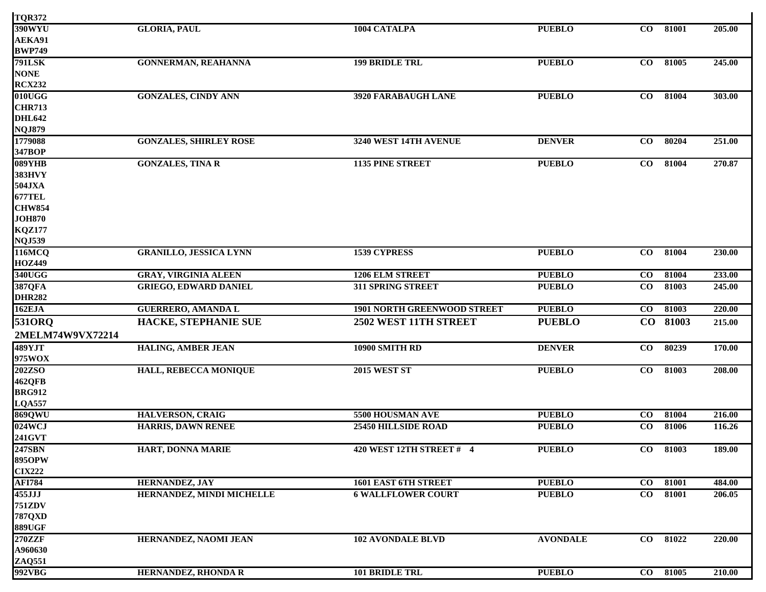| <b>TQR372</b>           |                               |                                    |                 |           |       |        |
|-------------------------|-------------------------------|------------------------------------|-----------------|-----------|-------|--------|
| <b>390WYU</b>           | <b>GLORIA, PAUL</b>           | 1004 CATALPA                       | <b>PUEBLO</b>   | $\bf CO$  | 81001 | 205.00 |
| AEKA91                  |                               |                                    |                 |           |       |        |
| <b>BWP749</b>           |                               |                                    |                 |           |       |        |
| <b>791LSK</b>           | <b>GONNERMAN, REAHANNA</b>    | <b>199 BRIDLE TRL</b>              | <b>PUEBLO</b>   | $\bf CO$  | 81005 | 245.00 |
| <b>NONE</b>             |                               |                                    |                 |           |       |        |
| <b>RCX232</b>           |                               |                                    |                 |           |       |        |
| 010UGG                  | <b>GONZALES, CINDY ANN</b>    | 3920 FARABAUGH LANE                | <b>PUEBLO</b>   | CO        | 81004 | 303.00 |
| <b>CHR713</b>           |                               |                                    |                 |           |       |        |
| <b>DHL642</b>           |                               |                                    |                 |           |       |        |
| <b>NQJ879</b>           |                               |                                    |                 |           |       |        |
| 1779088                 | <b>GONZALES, SHIRLEY ROSE</b> | 3240 WEST 14TH AVENUE              | <b>DENVER</b>   | CO        | 80204 | 251.00 |
| 347BOP                  |                               |                                    |                 |           |       |        |
| 089YHB                  | <b>GONZALES, TINA R</b>       | 1135 PINE STREET                   | <b>PUEBLO</b>   | $\bf CO$  | 81004 | 270.87 |
| <b>383HVY</b>           |                               |                                    |                 |           |       |        |
| 504JXA                  |                               |                                    |                 |           |       |        |
| <b>677TEL</b>           |                               |                                    |                 |           |       |        |
| <b>CHW854</b>           |                               |                                    |                 |           |       |        |
| <b>JOH870</b>           |                               |                                    |                 |           |       |        |
| <b>KQZ177</b>           |                               |                                    |                 |           |       |        |
| <b>NQJ539</b>           |                               |                                    |                 |           |       |        |
| 116MCQ                  | <b>GRANILLO, JESSICA LYNN</b> | <b>1539 CYPRESS</b>                | <b>PUEBLO</b>   | CO        | 81004 | 230.00 |
| <b>HOZ449</b>           |                               |                                    |                 |           |       |        |
| 340UGG                  | <b>GRAY, VIRGINIA ALEEN</b>   | <b>1206 ELM STREET</b>             | <b>PUEBLO</b>   | $\bf CO$  | 81004 | 233.00 |
| 387QFA                  | <b>GRIEGO, EDWARD DANIEL</b>  | 311 SPRING STREET                  | <b>PUEBLO</b>   | $\bf CO$  | 81003 | 245.00 |
| <b>DHR282</b>           |                               |                                    |                 |           |       |        |
| 162EJA                  | <b>GUERRERO, AMANDA L</b>     | <b>1901 NORTH GREENWOOD STREET</b> | <b>PUEBLO</b>   | CO        | 81003 | 220.00 |
| 5310RQ                  | <b>HACKE, STEPHANIE SUE</b>   | 2502 WEST 11TH STREET              | <b>PUEBLO</b>   | CO        | 81003 | 215.00 |
| 2MELM74W9VX72214        |                               |                                    |                 |           |       |        |
| 489YJT                  | HALING, AMBER JEAN            | 10900 SMITH RD                     | <b>DENVER</b>   | $\bf CO$  | 80239 | 170.00 |
| 975WOX                  |                               |                                    |                 |           |       |        |
| <b>202ZSO</b>           | HALL, REBECCA MONIQUE         | <b>2015 WEST ST</b>                | <b>PUEBLO</b>   | $\bf{CO}$ | 81003 | 208.00 |
| 462QFB                  |                               |                                    |                 |           |       |        |
| <b>BRG912</b>           |                               |                                    |                 |           |       |        |
| LQA557                  |                               |                                    |                 |           |       |        |
| 869QWU                  | <b>HALVERSON, CRAIG</b>       | 5500 HOUSMAN AVE                   | <b>PUEBLO</b>   | $\bf CO$  | 81004 | 216.00 |
| 024WCJ                  | <b>HARRIS, DAWN RENEE</b>     | <b>25450 HILLSIDE ROAD</b>         | <b>PUEBLO</b>   | $\bf CO$  | 81006 | 116.26 |
| <b>241GVT</b>           |                               |                                    |                 |           |       |        |
| 247SBN                  | HART, DONNA MARIE             | 420 WEST 12TH STREET # 4           | <b>PUEBLO</b>   | $\bf CO$  | 81003 | 189.00 |
| <b>895OPW</b>           |                               |                                    |                 |           |       |        |
| <b>CIX222</b>           |                               |                                    |                 |           |       |        |
| <b>AFI784</b>           | <b>HERNANDEZ, JAY</b>         | 1601 EAST 6TH STREET               | <b>PUEBLO</b>   | $\bf CO$  | 81001 | 484.00 |
| $455$ JJJ               | HERNANDEZ, MINDI MICHELLE     | <b>6 WALLFLOWER COURT</b>          | <b>PUEBLO</b>   | $\bf CO$  | 81001 | 206.05 |
| <b>751ZDV</b>           |                               |                                    |                 |           |       |        |
| <b>787QXD</b>           |                               |                                    |                 |           |       |        |
| <b>889UGF</b>           |                               |                                    |                 |           |       |        |
| <b>270ZZF</b>           | HERNANDEZ, NAOMI JEAN         | <b>102 AVONDALE BLVD</b>           | <b>AVONDALE</b> | $\bf CO$  | 81022 | 220.00 |
| A960630                 |                               |                                    |                 |           |       |        |
|                         |                               |                                    |                 |           |       |        |
| <b>ZAQ551</b><br>992VBG | HERNANDEZ, RHONDA R           | <b>101 BRIDLE TRL</b>              | <b>PUEBLO</b>   | $\bf CO$  | 81005 | 210.00 |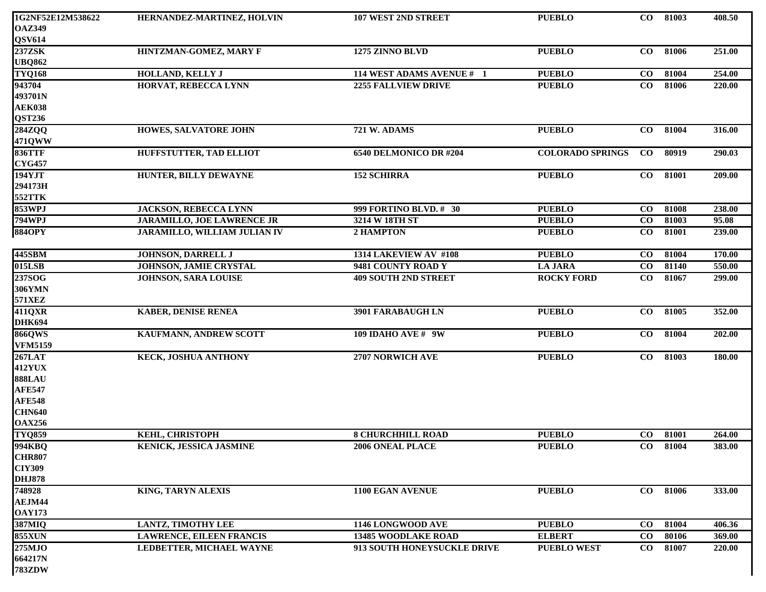| 1G2NF52E12M538622 | HERNANDEZ-MARTINEZ, HOLVIN          | <b>107 WEST 2ND STREET</b>  | <b>PUEBLO</b>           | CO        | 81003    | 408.50 |
|-------------------|-------------------------------------|-----------------------------|-------------------------|-----------|----------|--------|
| <b>OAZ349</b>     |                                     |                             |                         |           |          |        |
| <b>QSV614</b>     |                                     |                             |                         |           |          |        |
| 237ZSK            | HINTZMAN-GOMEZ, MARY F              | 1275 ZINNO BLVD             | <b>PUEBLO</b>           | CO        | 81006    | 251.00 |
| <b>UBQ862</b>     |                                     |                             |                         |           |          |        |
| <b>TYQ168</b>     | <b>HOLLAND, KELLY J</b>             | 114 WEST ADAMS AVENUE # 1   | <b>PUEBLO</b>           | $\bf CO$  | 81004    | 254.00 |
| 943704            | <b>HORVAT, REBECCA LYNN</b>         | 2255 FALLVIEW DRIVE         | <b>PUEBLO</b>           | $\bf CO$  | 81006    | 220.00 |
| 493701N           |                                     |                             |                         |           |          |        |
| <b>AEK038</b>     |                                     |                             |                         |           |          |        |
| <b>QST236</b>     |                                     |                             |                         |           |          |        |
| 284ZQQ            | <b>HOWES, SALVATORE JOHN</b>        | 721 W. ADAMS                | <b>PUEBLO</b>           | $\bf{CO}$ | 81004    | 316.00 |
| 471QWW            |                                     |                             |                         |           |          |        |
| <b>836TTF</b>     | <b>HUFFSTUTTER, TAD ELLIOT</b>      | 6540 DELMONICO DR #204      | <b>COLORADO SPRINGS</b> | $\bf{CO}$ | 80919    | 290.03 |
| <b>CYG457</b>     |                                     |                             |                         |           |          |        |
| 194YJT            | HUNTER, BILLY DEWAYNE               | <b>152 SCHIRRA</b>          | <b>PUEBLO</b>           | $\bf{CO}$ | 81001    | 209.00 |
| 294173H           |                                     |                             |                         |           |          |        |
| 552TTK            |                                     |                             |                         |           |          |        |
| 853WPJ            | <b>JACKSON, REBECCA LYNN</b>        | 999 FORTINO BLVD. # 30      | <b>PUEBLO</b>           | $\bf CO$  | 81008    | 238.00 |
| <b>794WPJ</b>     | <b>JARAMILLO, JOE LAWRENCE JR</b>   | 3214 W 18TH ST              | <b>PUEBLO</b>           | $\bf CO$  | 81003    | 95.08  |
| <b>884OPY</b>     | <b>JARAMILLO, WILLIAM JULIAN IV</b> | 2 HAMPTON                   | <b>PUEBLO</b>           | $\bf CO$  | 81001    | 239.00 |
|                   |                                     |                             |                         |           |          |        |
| 445SBM            | <b>JOHNSON, DARRELL J</b>           | 1314 LAKEVIEW AV #108       | <b>PUEBLO</b>           | $\bf{CO}$ | 81004    | 170.00 |
| 015LSB            | <b>JOHNSON, JAMIE CRYSTAL</b>       | 9481 COUNTY ROAD Y          | <b>LA JARA</b>          | $\bf CO$  | 81140    | 550.00 |
| 237SOG            | <b>JOHNSON, SARA LOUISE</b>         | <b>409 SOUTH 2ND STREET</b> | <b>ROCKY FORD</b>       | $\bf CO$  | 81067    | 299.00 |
| <b>306YMN</b>     |                                     |                             |                         |           |          |        |
| 571XEZ            |                                     |                             |                         |           |          |        |
| 411QXR            | <b>KABER, DENISE RENEA</b>          | 3901 FARABAUGH LN           | <b>PUEBLO</b>           | CO        | 81005    | 352.00 |
| <b>DHK694</b>     |                                     |                             |                         |           |          |        |
| <b>866QWS</b>     | KAUFMANN, ANDREW SCOTT              | <b>109 IDAHO AVE # 9W</b>   | <b>PUEBLO</b>           | $\bf CO$  | 81004    | 202.00 |
| <b>VFM5159</b>    |                                     |                             |                         |           |          |        |
| <b>267LAT</b>     | <b>KECK, JOSHUA ANTHONY</b>         | 2707 NORWICH AVE            | <b>PUEBLO</b>           | $\bf CO$  | 81003    | 180.00 |
| <b>412YUX</b>     |                                     |                             |                         |           |          |        |
| <b>888LAU</b>     |                                     |                             |                         |           |          |        |
| <b>AFE547</b>     |                                     |                             |                         |           |          |        |
| <b>AFE548</b>     |                                     |                             |                         |           |          |        |
| <b>CHN640</b>     |                                     |                             |                         |           |          |        |
| <b>OAX256</b>     |                                     |                             |                         |           |          |        |
| <b>TYQ859</b>     | <b>KEHL, CHRISTOPH</b>              | <b>8 CHURCHHILL ROAD</b>    | <b>PUEBLO</b>           | $\bf CO$  | 81001    | 264.00 |
| 994KBQ            | <b>KENICK, JESSICA JASMINE</b>      | 2006 ONEAL PLACE            | <b>PUEBLO</b>           |           | CO 81004 | 383.00 |
| <b>CHR807</b>     |                                     |                             |                         |           |          |        |
| <b>CIY309</b>     |                                     |                             |                         |           |          |        |
| <b>DHJ878</b>     |                                     |                             |                         |           |          |        |
| 748928            | KING, TARYN ALEXIS                  | 1100 EGAN AVENUE            | <b>PUEBLO</b>           | $\bf CO$  | 81006    | 333.00 |
| AEJM44            |                                     |                             |                         |           |          |        |
| <b>OAY173</b>     |                                     |                             |                         |           |          |        |
| <b>387MIQ</b>     | <b>LANTZ, TIMOTHY LEE</b>           | 1146 LONGWOOD AVE           | <b>PUEBLO</b>           | $\bf CO$  | 81004    | 406.36 |
| <b>855XUN</b>     | <b>LAWRENCE, EILEEN FRANCIS</b>     | <b>13485 WOODLAKE ROAD</b>  | <b>ELBERT</b>           | $\bf CO$  | 80106    | 369.00 |
| <b>275MJO</b>     | LEDBETTER, MICHAEL WAYNE            | 913 SOUTH HONEYSUCKLE DRIVE | <b>PUEBLO WEST</b>      | $\bf CO$  | 81007    | 220.00 |
| 664217N           |                                     |                             |                         |           |          |        |
| <b>783ZDW</b>     |                                     |                             |                         |           |          |        |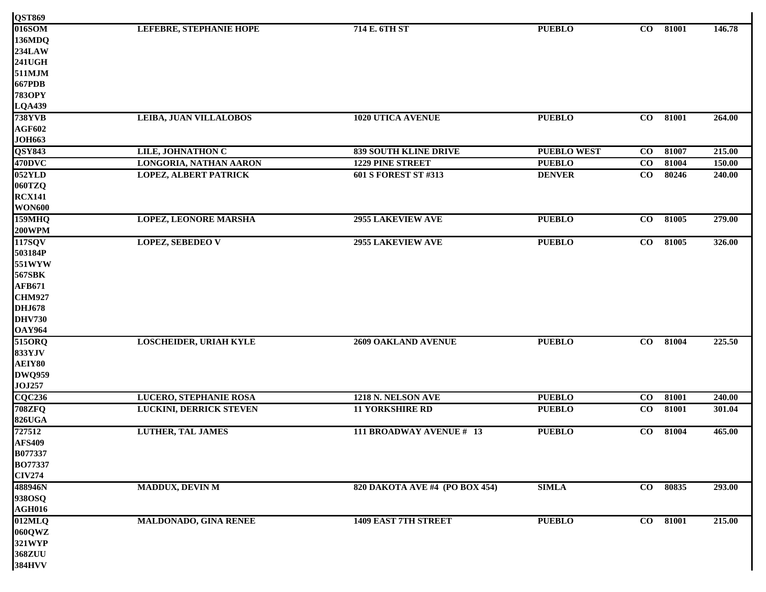| <b>QST869</b><br>016SOM | LEFEBRE, STEPHANIE HOPE        | 714 E. 6TH ST                  | <b>PUEBLO</b>      | $\bf{CO}$ | 81001 | 146.78 |
|-------------------------|--------------------------------|--------------------------------|--------------------|-----------|-------|--------|
| 136MDQ                  |                                |                                |                    |           |       |        |
| <b>234LAW</b>           |                                |                                |                    |           |       |        |
| <b>241UGH</b>           |                                |                                |                    |           |       |        |
| 511MJM                  |                                |                                |                    |           |       |        |
| <b>667PDB</b>           |                                |                                |                    |           |       |        |
| <b>783OPY</b>           |                                |                                |                    |           |       |        |
| <b>LQA439</b>           |                                |                                |                    |           |       |        |
| <b>738YVB</b>           | LEIBA, JUAN VILLALOBOS         | <b>1020 UTICA AVENUE</b>       | <b>PUEBLO</b>      | $\bf CO$  | 81001 | 264.00 |
| <b>AGF602</b>           |                                |                                |                    |           |       |        |
| <b>JOH663</b>           |                                |                                |                    |           |       |        |
| <b>QSY843</b>           | LILE, JOHNATHON C              | <b>839 SOUTH KLINE DRIVE</b>   | <b>PUEBLO WEST</b> | $\bf CO$  | 81007 | 215.00 |
| 470DVC                  | LONGORIA, NATHAN AARON         | <b>1229 PINE STREET</b>        | <b>PUEBLO</b>      | $\bf CO$  | 81004 | 150.00 |
| $052$ YLD               | <b>LOPEZ, ALBERT PATRICK</b>   | 601 S FOREST ST #313           | <b>DENVER</b>      | $\bf CO$  | 80246 | 240.00 |
| 060TZQ                  |                                |                                |                    |           |       |        |
| <b>RCX141</b>           |                                |                                |                    |           |       |        |
| <b>WON600</b>           |                                |                                |                    |           |       |        |
| 159MHz                  | <b>LOPEZ, LEONORE MARSHA</b>   | <b>2955 LAKEVIEW AVE</b>       | <b>PUEBLO</b>      | $\bf{CO}$ | 81005 | 279.00 |
| <b>200WPM</b>           |                                |                                |                    |           |       |        |
| 117SQV                  | <b>LOPEZ, SEBEDEO V</b>        | <b>2955 LAKEVIEW AVE</b>       | <b>PUEBLO</b>      | $\bf{CO}$ | 81005 | 326.00 |
| 503184P                 |                                |                                |                    |           |       |        |
| 551WYW                  |                                |                                |                    |           |       |        |
| <b>567SBK</b>           |                                |                                |                    |           |       |        |
| <b>AFB671</b>           |                                |                                |                    |           |       |        |
| <b>CHM927</b>           |                                |                                |                    |           |       |        |
| <b>DHJ678</b>           |                                |                                |                    |           |       |        |
| <b>DHV730</b>           |                                |                                |                    |           |       |        |
|                         |                                |                                |                    |           |       |        |
| <b>OAY964</b><br>515ORQ | <b>LOSCHEIDER, URIAH KYLE</b>  | <b>2609 OAKLAND AVENUE</b>     | <b>PUEBLO</b>      | $\bf{CO}$ | 81004 | 225.50 |
| 833YJV                  |                                |                                |                    |           |       |        |
| AEIY80                  |                                |                                |                    |           |       |        |
| <b>DWQ959</b>           |                                |                                |                    |           |       |        |
| <b>JOJ257</b>           |                                |                                |                    |           |       |        |
| $\overline{CQC236}$     | <b>LUCERO, STEPHANIE ROSA</b>  | 1218 N. NELSON AVE             | <b>PUEBLO</b>      | $\bf CO$  | 81001 | 240.00 |
| <b>708ZFQ</b>           | <b>LUCKINI, DERRICK STEVEN</b> | <b>11 YORKSHIRE RD</b>         | <b>PUEBLO</b>      | $\bf CO$  | 81001 | 301.04 |
| <b>826UGA</b>           |                                |                                |                    |           |       |        |
| 727512                  | <b>LUTHER, TAL JAMES</b>       | 111 BROADWAY AVENUE # 13       | <b>PUEBLO</b>      | $\bf{CO}$ | 81004 | 465.00 |
| <b>AFS409</b>           |                                |                                |                    |           |       |        |
| B077337                 |                                |                                |                    |           |       |        |
| <b>BO77337</b>          |                                |                                |                    |           |       |        |
| <b>CIV274</b>           |                                |                                |                    |           |       |        |
| 488946N                 | <b>MADDUX, DEVIN M</b>         | 820 DAKOTA AVE #4 (PO BOX 454) | <b>SIMLA</b>       | $\bf CO$  | 80835 | 293.00 |
| 938OSQ                  |                                |                                |                    |           |       |        |
| <b>AGH016</b>           |                                |                                |                    |           |       |        |
| 012MLQ                  | MALDONADO, GINA RENEE          | <b>1409 EAST 7TH STREET</b>    | <b>PUEBLO</b>      | $\bf CO$  | 81001 | 215.00 |
| 060QWZ                  |                                |                                |                    |           |       |        |
| 321WYP                  |                                |                                |                    |           |       |        |
| 368ZUU                  |                                |                                |                    |           |       |        |
| <b>384HVV</b>           |                                |                                |                    |           |       |        |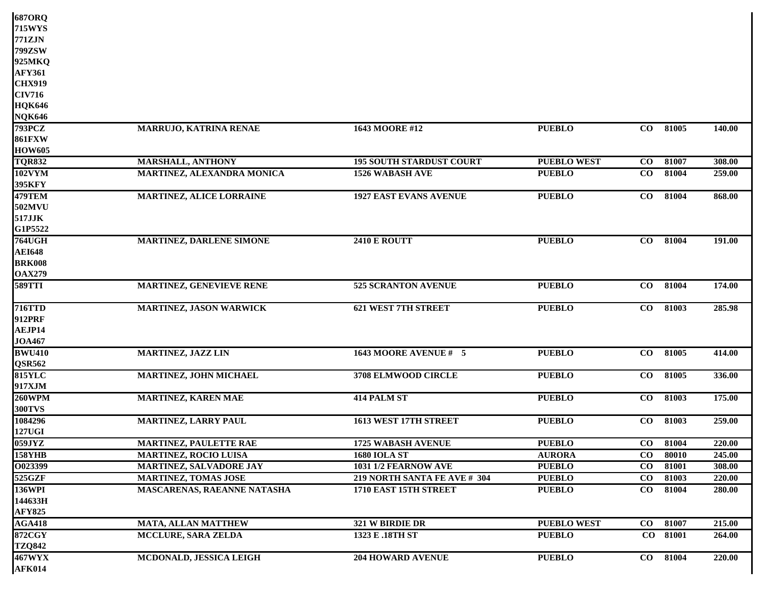| <b>687ORQ</b> |                                    |                                 |                    |                 |          |        |
|---------------|------------------------------------|---------------------------------|--------------------|-----------------|----------|--------|
| <b>715WYS</b> |                                    |                                 |                    |                 |          |        |
| 771ZJN        |                                    |                                 |                    |                 |          |        |
| 799ZSW        |                                    |                                 |                    |                 |          |        |
| 925MKQ        |                                    |                                 |                    |                 |          |        |
| <b>AFY361</b> |                                    |                                 |                    |                 |          |        |
| <b>CHX919</b> |                                    |                                 |                    |                 |          |        |
| <b>CIV716</b> |                                    |                                 |                    |                 |          |        |
| <b>HQK646</b> |                                    |                                 |                    |                 |          |        |
| <b>NQK646</b> |                                    |                                 |                    |                 |          |        |
| <b>793PCZ</b> | <b>MARRUJO, KATRINA RENAE</b>      | 1643 MOORE #12                  | <b>PUEBLO</b>      | $\bf{CO}$       | 81005    | 140.00 |
| <b>861FXW</b> |                                    |                                 |                    |                 |          |        |
| <b>HOW605</b> |                                    |                                 |                    |                 |          |        |
| <b>TQR832</b> | <b>MARSHALL, ANTHONY</b>           | <b>195 SOUTH STARDUST COURT</b> | <b>PUEBLO WEST</b> | $\bf CO$        | 81007    | 308.00 |
| <b>102VYM</b> | MARTINEZ, ALEXANDRA MONICA         | <b>1526 WABASH AVE</b>          | <b>PUEBLO</b>      | $\bf CO$        | 81004    | 259.00 |
| 395KFY        |                                    |                                 |                    |                 |          |        |
| 479TEM        | MARTINEZ, ALICE LORRAINE           | <b>1927 EAST EVANS AVENUE</b>   | <b>PUEBLO</b>      | $\bf{CO}$       | 81004    | 868.00 |
| 502MVU        |                                    |                                 |                    |                 |          |        |
| 517JJK        |                                    |                                 |                    |                 |          |        |
| G1P5522       |                                    |                                 |                    |                 |          |        |
| <b>764UGH</b> | MARTINEZ, DARLENE SIMONE           | <b>2410 E ROUTT</b>             | <b>PUEBLO</b>      | $\bf{CO}$       | 81004    | 191.00 |
| <b>AEI648</b> |                                    |                                 |                    |                 |          |        |
| <b>BRK008</b> |                                    |                                 |                    |                 |          |        |
| <b>OAX279</b> |                                    |                                 |                    |                 |          |        |
| <b>589TTI</b> | MARTINEZ, GENEVIEVE RENE           | 525 SCRANTON AVENUE             | <b>PUEBLO</b>      | $\bf{CO}$       | 81004    | 174.00 |
| <b>716TTD</b> | <b>MARTINEZ, JASON WARWICK</b>     | <b>621 WEST 7TH STREET</b>      | <b>PUEBLO</b>      | $\overline{co}$ | 81003    | 285.98 |
| 912PRF        |                                    |                                 |                    |                 |          |        |
| AEJP14        |                                    |                                 |                    |                 |          |        |
| <b>JOA467</b> |                                    |                                 |                    |                 |          |        |
| <b>BWU410</b> | MARTINEZ, JAZZ LIN                 | 1643 MOORE AVENUE # 5           | <b>PUEBLO</b>      | $\bf CO$        | 81005    | 414.00 |
| <b>QSR562</b> |                                    |                                 |                    |                 |          |        |
| <b>815YLC</b> | MARTINEZ, JOHN MICHAEL             | 3708 ELMWOOD CIRCLE             | <b>PUEBLO</b>      | CO              | 81005    | 336.00 |
| 917XJM        |                                    |                                 |                    |                 |          |        |
| <b>260WPM</b> | <b>MARTINEZ, KAREN MAE</b>         | <b>414 PALM ST</b>              | <b>PUEBLO</b>      | $\bf{CO}$       | 81003    | 175.00 |
| <b>300TVS</b> |                                    |                                 |                    |                 |          |        |
| 1084296       | <b>MARTINEZ, LARRY PAUL</b>        | 1613 WEST 17TH STREET           | <b>PUEBLO</b>      | $\bf{CO}$       | 81003    | 259.00 |
| 127UGI        |                                    |                                 |                    |                 |          |        |
| 059JYZ        | <b>MARTINEZ, PAULETTE RAE</b>      | 1725 WABASH AVENUE              | <b>PUEBLO</b>      | $\overline{C}$  | 81004    | 220.00 |
| <b>158YHB</b> | <b>MARTINEZ, ROCIO LUISA</b>       | <b>1680 IOLA ST</b>             | <b>AURORA</b>      | $\bf CO$        | 80010    | 245.00 |
| O023399       | MARTINEZ, SALVADORE JAY            | 1031 1/2 FEARNOW AVE            | <b>PUEBLO</b>      | $\bf{CO}$       | 81001    | 308.00 |
| 525GZF        | <b>MARTINEZ, TOMAS JOSE</b>        | 219 NORTH SANTA FE AVE # 304    | <b>PUEBLO</b>      | $\bf{CO}$       | 81003    | 220.00 |
| <b>136WPI</b> | <b>MASCARENAS, RAEANNE NATASHA</b> | 1710 EAST 15TH STREET           | <b>PUEBLO</b>      | $\bf{CO}$       | 81004    | 280.00 |
| 144633H       |                                    |                                 |                    |                 |          |        |
| <b>AFY825</b> |                                    |                                 |                    |                 |          |        |
| <b>AGA418</b> | <b>MATA, ALLAN MATTHEW</b>         | 321 W BIRDIE DR                 | <b>PUEBLO WEST</b> | $\bf CO$        | 81007    | 215.00 |
| <b>872CGY</b> | MCCLURE, SARA ZELDA                | 1323 E .18TH ST                 | <b>PUEBLO</b>      |                 | CO 81001 | 264.00 |
| <b>TZQ842</b> |                                    |                                 |                    |                 |          |        |
| <b>467WYX</b> | MCDONALD, JESSICA LEIGH            | <b>204 HOWARD AVENUE</b>        | <b>PUEBLO</b>      | $\bf CO$        | 81004    | 220.00 |
| <b>AFK014</b> |                                    |                                 |                    |                 |          |        |
|               |                                    |                                 |                    |                 |          |        |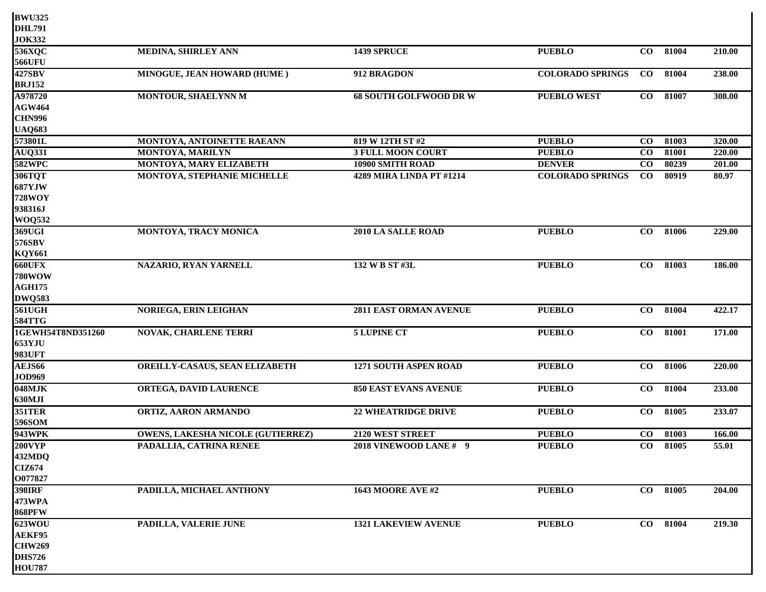| <b>BWU325</b>     |                                   |                               |                         |           |          |        |
|-------------------|-----------------------------------|-------------------------------|-------------------------|-----------|----------|--------|
| <b>DHL791</b>     |                                   |                               |                         |           |          |        |
| <b>JOK332</b>     |                                   |                               |                         |           |          |        |
| 536XQC            | <b>MEDINA, SHIRLEY ANN</b>        | 1439 SPRUCE                   | <b>PUEBLO</b>           | CO        | 81004    | 210.00 |
| <b>566UFU</b>     |                                   |                               |                         |           |          |        |
| <b>427SBV</b>     | MINOGUE, JEAN HOWARD (HUME)       | 912 BRAGDON                   | <b>COLORADO SPRINGS</b> | $\bf{CO}$ | 81004    | 238.00 |
| <b>BRJ152</b>     |                                   |                               |                         |           |          |        |
| A978720           | MONTOUR, SHAELYNN M               | <b>68 SOUTH GOLFWOOD DR W</b> | <b>PUEBLO WEST</b>      | $\bf CO$  | 81007    | 308.00 |
| <b>AGW464</b>     |                                   |                               |                         |           |          |        |
| <b>CHN996</b>     |                                   |                               |                         |           |          |        |
| <b>UAQ683</b>     |                                   |                               |                         |           |          |        |
| 573801L           | MONTOYA, ANTOINETTE RAEANN        | 819 W 12TH ST #2              | <b>PUEBLO</b>           | $\bf{CO}$ | 81003    | 320.00 |
| <b>AUQ331</b>     | MONTOYA, MARILYN                  | <b>3 FULL MOON COURT</b>      | <b>PUEBLO</b>           | $\bf CO$  | 81001    | 220.00 |
| <b>582WPC</b>     | MONTOYA, MARY ELIZABETH           | 10900 SMITH ROAD              | <b>DENVER</b>           | CO        | 80239    | 201.00 |
| <b>306TQT</b>     | MONTOYA, STEPHANIE MICHELLE       | 4289 MIRA LINDA PT #1214      | <b>COLORADO SPRINGS</b> | $\bf{CO}$ | 80919    | 80.97  |
| <b>687YJW</b>     |                                   |                               |                         |           |          |        |
| <b>728WOY</b>     |                                   |                               |                         |           |          |        |
| 938316J           |                                   |                               |                         |           |          |        |
| <b>WOQ532</b>     |                                   |                               |                         |           |          |        |
| 369UGI            | MONTOYA, TRACY MONICA             | 2010 LA SALLE ROAD            | <b>PUEBLO</b>           | $\bf{CO}$ | 81006    | 229.00 |
| 576SBV            |                                   |                               |                         |           |          |        |
| <b>KQY661</b>     |                                   |                               |                         |           |          |        |
| <b>660UFX</b>     | NAZARIO, RYAN YARNELL             | 132 W B ST #3L                | <b>PUEBLO</b>           | $\bf CO$  | 81003    | 186.00 |
| <b>780WOW</b>     |                                   |                               |                         |           |          |        |
| <b>AGH175</b>     |                                   |                               |                         |           |          |        |
| <b>DWQ583</b>     |                                   |                               |                         |           |          |        |
| <b>561UGH</b>     | <b>NORIEGA, ERIN LEIGHAN</b>      | 2811 EAST ORMAN AVENUE        | <b>PUEBLO</b>           | $\bf CO$  | 81004    | 422.17 |
| <b>584TTG</b>     |                                   |                               |                         |           |          |        |
| 1GEWH54T8ND351260 | NOVAK, CHARLENE TERRI             | <b>5 LUPINE CT</b>            | <b>PUEBLO</b>           | $\bf CO$  | 81001    | 171.00 |
| 653YJU            |                                   |                               |                         |           |          |        |
| <b>983UFT</b>     |                                   |                               |                         |           |          |        |
| AEJS66            | OREILLY-CASAUS, SEAN ELIZABETH    | 1271 SOUTH ASPEN ROAD         | <b>PUEBLO</b>           | $\bf CO$  | 81006    | 220.00 |
| <b>JOD969</b>     |                                   |                               |                         |           |          |        |
| 048MJK            | ORTEGA, DAVID LAURENCE            | <b>850 EAST EVANS AVENUE</b>  | <b>PUEBLO</b>           | CO        | 81004    | 233.00 |
| 630MJI            |                                   |                               |                         |           |          |        |
| <b>351TER</b>     | ORTIZ, AARON ARMANDO              | <b>22 WHEATRIDGE DRIVE</b>    | <b>PUEBLO</b>           | $\bf CO$  | 81005    | 233.07 |
| 596SOM            |                                   |                               |                         |           |          |        |
| <b>943WPK</b>     | OWENS, LAKESHA NICOLE (GUTIERREZ) | 2120 WEST STREET              | <b>PUEBLO</b>           | $\bf CO$  | 81003    | 166.00 |
| <b>200VYP</b>     | PADALLIA, CATRINA RENEE           | 2018 VINEWOOD LANE #9         | <b>PUEBLO</b>           |           | CO 81005 | 55.01  |
| 432MDQ            |                                   |                               |                         |           |          |        |
| <b>CIZ674</b>     |                                   |                               |                         |           |          |        |
| O077827           |                                   |                               |                         |           |          |        |
| <b>398IRF</b>     | PADILLA, MICHAEL ANTHONY          | <b>1643 MOORE AVE #2</b>      | <b>PUEBLO</b>           | $\bf CO$  | 81005    | 204.00 |
| <b>473WPA</b>     |                                   |                               |                         |           |          |        |
| <b>868PFW</b>     |                                   |                               |                         |           |          |        |
| 623WOU            | PADILLA, VALERIE JUNE             | <b>1321 LAKEVIEW AVENUE</b>   | <b>PUEBLO</b>           |           | CO 81004 | 219.30 |
| AEKF95            |                                   |                               |                         |           |          |        |
| <b>CHW269</b>     |                                   |                               |                         |           |          |        |
| <b>DHS726</b>     |                                   |                               |                         |           |          |        |
| <b>HOU787</b>     |                                   |                               |                         |           |          |        |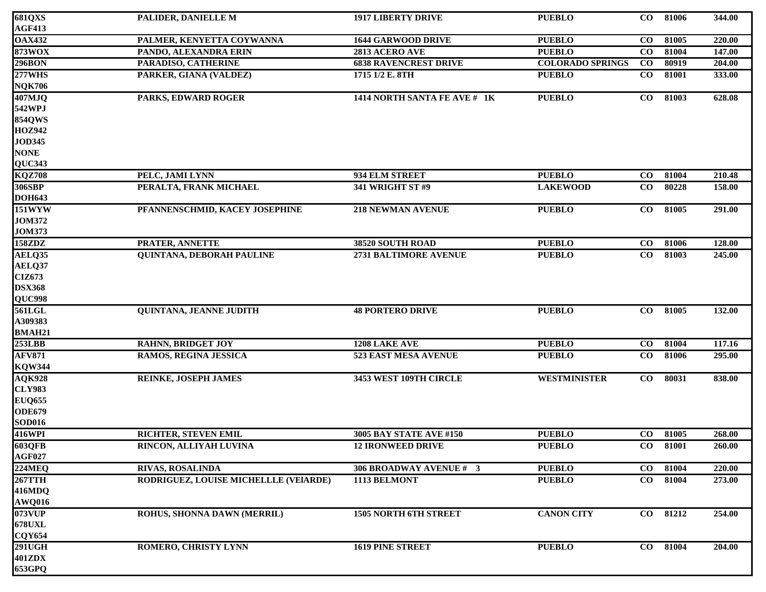| <b>681QXS</b> | PALIDER, DANIELLE M                   | <b>1917 LIBERTY DRIVE</b>    | <b>PUEBLO</b>           | $\bf CO$  | 81006    | 344.00 |
|---------------|---------------------------------------|------------------------------|-------------------------|-----------|----------|--------|
| <b>AGF413</b> |                                       |                              |                         |           |          |        |
| <b>OAX432</b> | PALMER, KENYETTA COYWANNA             | <b>1644 GARWOOD DRIVE</b>    | <b>PUEBLO</b>           | $\bf CO$  | 81005    | 220.00 |
| <b>873WOX</b> | PANDO, ALEXANDRA ERIN                 | 2813 ACERO AVE               | <b>PUEBLO</b>           | $\bf CO$  | 81004    | 147.00 |
| 296BON        | PARADISO, CATHERINE                   | <b>6838 RAVENCREST DRIVE</b> | <b>COLORADO SPRINGS</b> | $\bf CO$  | 80919    | 204.00 |
| <b>277WHS</b> | PARKER, GIANA (VALDEZ)                | 1715 1/2 E. 8TH              | <b>PUEBLO</b>           | $\bf CO$  | 81001    | 333.00 |
| <b>NQK706</b> |                                       |                              |                         |           |          |        |
| 407MJQ        | PARKS, EDWARD ROGER                   | 1414 NORTH SANTA FE AVE # 1K | <b>PUEBLO</b>           | $\bf{CO}$ | 81003    | 628.08 |
| 542WPJ        |                                       |                              |                         |           |          |        |
| <b>854QWS</b> |                                       |                              |                         |           |          |        |
| <b>HOZ942</b> |                                       |                              |                         |           |          |        |
| <b>JOD345</b> |                                       |                              |                         |           |          |        |
| <b>NONE</b>   |                                       |                              |                         |           |          |        |
| <b>QUC343</b> |                                       |                              |                         |           |          |        |
| <b>KQZ708</b> | PELC, JAMI LYNN                       | 934 ELM STREET               | <b>PUEBLO</b>           | $\bf{CO}$ | 81004    | 210.48 |
| 306SBP        | PERALTA, FRANK MICHAEL                | <b>341 WRIGHT ST #9</b>      | <b>LAKEWOOD</b>         | $\bf CO$  | 80228    | 158.00 |
| <b>DOH643</b> |                                       |                              |                         |           |          |        |
| <b>151WYW</b> | PFANNENSCHMID, KACEY JOSEPHINE        | <b>218 NEWMAN AVENUE</b>     | <b>PUEBLO</b>           | $\bf CO$  | 81005    | 291.00 |
| <b>JOM372</b> |                                       |                              |                         |           |          |        |
| <b>JOM373</b> |                                       |                              |                         |           |          |        |
| 158ZDZ        | PRATER, ANNETTE                       | 38520 SOUTH ROAD             | <b>PUEBLO</b>           | $\bf CO$  | 81006    | 128.00 |
| AELQ35        | <b>QUINTANA, DEBORAH PAULINE</b>      | 2731 BALTIMORE AVENUE        | <b>PUEBLO</b>           | $\bf CO$  | 81003    | 245.00 |
| AELQ37        |                                       |                              |                         |           |          |        |
| CIZ673        |                                       |                              |                         |           |          |        |
| <b>DSX368</b> |                                       |                              |                         |           |          |        |
| QUC998        |                                       |                              |                         |           |          |        |
| 561LGL        | QUINTANA, JEANNE JUDITH               | <b>48 PORTERO DRIVE</b>      | <b>PUEBLO</b>           | $\bf{CO}$ | 81005    | 132.00 |
| A309383       |                                       |                              |                         |           |          |        |
| <b>BMAH21</b> |                                       |                              |                         |           |          |        |
| <b>253LBB</b> | <b>RAHNN, BRIDGET JOY</b>             | 1208 LAKE AVE                | <b>PUEBLO</b>           | $\bf CO$  | 81004    | 117.16 |
| <b>AFV871</b> | RAMOS, REGINA JESSICA                 | 523 EAST MESA AVENUE         | <b>PUEBLO</b>           | $\bf CO$  | 81006    | 295.00 |
| <b>KQW344</b> |                                       |                              |                         |           |          |        |
| <b>AQK928</b> | <b>REINKE, JOSEPH JAMES</b>           | 3453 WEST 109TH CIRCLE       | <b>WESTMINISTER</b>     | $\bf{CO}$ | 80031    | 838.00 |
| <b>CLY983</b> |                                       |                              |                         |           |          |        |
| <b>EUQ655</b> |                                       |                              |                         |           |          |        |
| <b>ODE679</b> |                                       |                              |                         |           |          |        |
| <b>SOD016</b> |                                       |                              |                         |           |          |        |
| 416WPI        | RICHTER, STEVEN EMIL                  | 3005 BAY STATE AVE #150      | <b>PUEBLO</b>           | $\bf CO$  | 81005    | 268.00 |
| 603QFB        | RINCON, ALLIYAH LUVINA                | <b>12 IRONWEED DRIVE</b>     | <b>PUEBLO</b>           |           | CO 81001 | 260.00 |
| <b>AGF027</b> |                                       |                              |                         |           |          |        |
| <b>224MEQ</b> | <b>RIVAS, ROSALINDA</b>               | 306 BROADWAY AVENUE # 3      | <b>PUEBLO</b>           | $\bf{CO}$ | 81004    | 220.00 |
| <b>267TTH</b> | RODRIGUEZ, LOUISE MICHELLLE (VEIARDE) | 1113 BELMONT                 | <b>PUEBLO</b>           | $\bf CO$  | 81004    | 273.00 |
| <b>416MDQ</b> |                                       |                              |                         |           |          |        |
| <b>AWQ016</b> |                                       |                              |                         |           |          |        |
| <b>073VUP</b> | ROHUS, SHONNA DAWN (MERRIL)           | 1505 NORTH 6TH STREET        | <b>CANON CITY</b>       |           | CO 81212 | 254.00 |
| <b>678UXL</b> |                                       |                              |                         |           |          |        |
| <b>CQY654</b> |                                       |                              |                         |           |          |        |
| <b>291UGH</b> | ROMERO, CHRISTY LYNN                  | <b>1619 PINE STREET</b>      | <b>PUEBLO</b>           | $\bf CO$  | 81004    | 204.00 |
| 401ZDX        |                                       |                              |                         |           |          |        |
| 653GPQ        |                                       |                              |                         |           |          |        |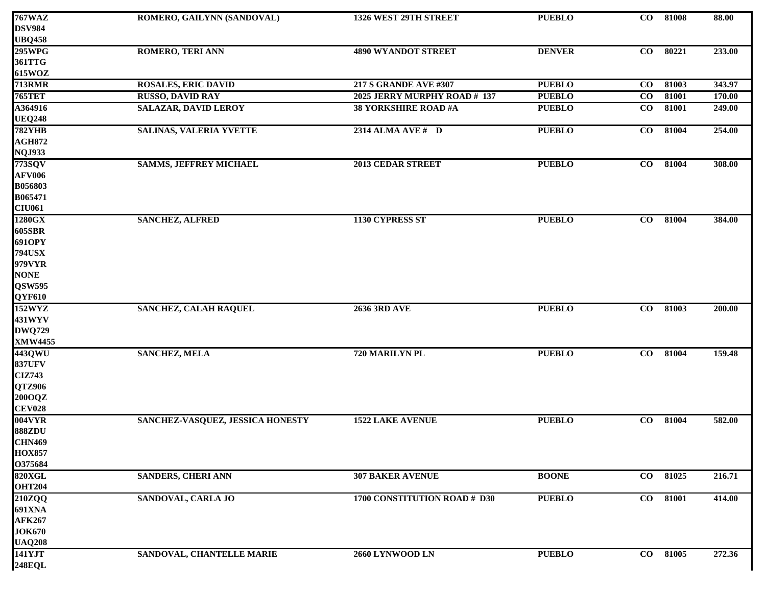| <b>767WAZ</b>  | ROMERO, GAILYNN (SANDOVAL)       | 1326 WEST 29TH STREET        | <b>PUEBLO</b> | $\bf{CO}$ | 81008 | 88.00  |
|----------------|----------------------------------|------------------------------|---------------|-----------|-------|--------|
| <b>DSV984</b>  |                                  |                              |               |           |       |        |
| <b>UBQ458</b>  |                                  |                              |               |           |       |        |
| 295WPG         | <b>ROMERO, TERI ANN</b>          | <b>4890 WYANDOT STREET</b>   | <b>DENVER</b> | $\bf{CO}$ | 80221 | 233.00 |
| 361TTG         |                                  |                              |               |           |       |        |
| 615WOZ         |                                  |                              |               |           |       |        |
| <b>713RMR</b>  | <b>ROSALES, ERIC DAVID</b>       | <b>217 S GRANDE AVE #307</b> | <b>PUEBLO</b> | $\bf CO$  | 81003 | 343.97 |
| <b>765TET</b>  | <b>RUSSO, DAVID RAY</b>          | 2025 JERRY MURPHY ROAD # 137 | <b>PUEBLO</b> | $\bf CO$  | 81001 | 170.00 |
| A364916        | <b>SALAZAR, DAVID LEROY</b>      | <b>38 YORKSHIRE ROAD #A</b>  | <b>PUEBLO</b> | $\bf CO$  | 81001 | 249.00 |
| <b>UEQ248</b>  |                                  |                              |               |           |       |        |
| <b>782YHB</b>  | SALINAS, VALERIA YVETTE          | 2314 ALMA AVE # D            | <b>PUEBLO</b> | $\bf CO$  | 81004 | 254.00 |
| <b>AGH872</b>  |                                  |                              |               |           |       |        |
| <b>NQJ933</b>  |                                  |                              |               |           |       |        |
| 773SQV         | <b>SAMMS, JEFFREY MICHAEL</b>    | <b>2013 CEDAR STREET</b>     | <b>PUEBLO</b> | $\bf{CO}$ | 81004 | 308.00 |
| <b>AFV006</b>  |                                  |                              |               |           |       |        |
| B056803        |                                  |                              |               |           |       |        |
| B065471        |                                  |                              |               |           |       |        |
| <b>CIU061</b>  |                                  |                              |               |           |       |        |
| 1280GX         | <b>SANCHEZ, ALFRED</b>           | 1130 CYPRESS ST              | <b>PUEBLO</b> | $\bf CO$  | 81004 | 384.00 |
| 605SBR         |                                  |                              |               |           |       |        |
| 691OPY         |                                  |                              |               |           |       |        |
| <b>794USX</b>  |                                  |                              |               |           |       |        |
| 979VYR         |                                  |                              |               |           |       |        |
| <b>NONE</b>    |                                  |                              |               |           |       |        |
| <b>QSW595</b>  |                                  |                              |               |           |       |        |
| QYF610         |                                  |                              |               |           |       |        |
| 152WYZ         | <b>SANCHEZ, CALAH RAQUEL</b>     | <b>2636 3RD AVE</b>          | <b>PUEBLO</b> | $\bf CO$  | 81003 | 200.00 |
| 431WYV         |                                  |                              |               |           |       |        |
| <b>DWQ729</b>  |                                  |                              |               |           |       |        |
| <b>XMW4455</b> |                                  |                              |               |           |       |        |
| 443QWU         | <b>SANCHEZ, MELA</b>             | 720 MARILYN PL               | <b>PUEBLO</b> | $\bf{CO}$ | 81004 | 159.48 |
| <b>837UFV</b>  |                                  |                              |               |           |       |        |
| <b>CIZ743</b>  |                                  |                              |               |           |       |        |
| QTZ906         |                                  |                              |               |           |       |        |
| 200OQZ         |                                  |                              |               |           |       |        |
| <b>CEV028</b>  |                                  |                              |               |           |       |        |
| 004VYR         | SANCHEZ-VASQUEZ, JESSICA HONESTY | <b>1522 LAKE AVENUE</b>      | <b>PUEBLO</b> | $\bf CO$  | 81004 | 582.00 |
| <b>888ZDU</b>  |                                  |                              |               |           |       |        |
| <b>CHN469</b>  |                                  |                              |               |           |       |        |
| <b>HOX857</b>  |                                  |                              |               |           |       |        |
| O375684        |                                  |                              |               |           |       |        |
| 820XGL         | SANDERS, CHERI ANN               | <b>307 BAKER AVENUE</b>      | <b>BOONE</b>  | $\bf{CO}$ | 81025 | 216.71 |
| <b>OHT204</b>  |                                  |                              |               |           |       |        |
| 210ZQQ         | SANDOVAL, CARLA JO               | 1700 CONSTITUTION ROAD # D30 | <b>PUEBLO</b> | $\bf CO$  | 81001 | 414.00 |
| <b>691XNA</b>  |                                  |                              |               |           |       |        |
| <b>AFK267</b>  |                                  |                              |               |           |       |        |
| <b>JOK670</b>  |                                  |                              |               |           |       |        |
| <b>UAQ208</b>  |                                  |                              |               |           |       |        |
| 141YJT         | SANDOVAL, CHANTELLE MARIE        | 2660 LYNWOOD LN              | <b>PUEBLO</b> | $\bf CO$  | 81005 | 272.36 |
| <b>248EQL</b>  |                                  |                              |               |           |       |        |
|                |                                  |                              |               |           |       |        |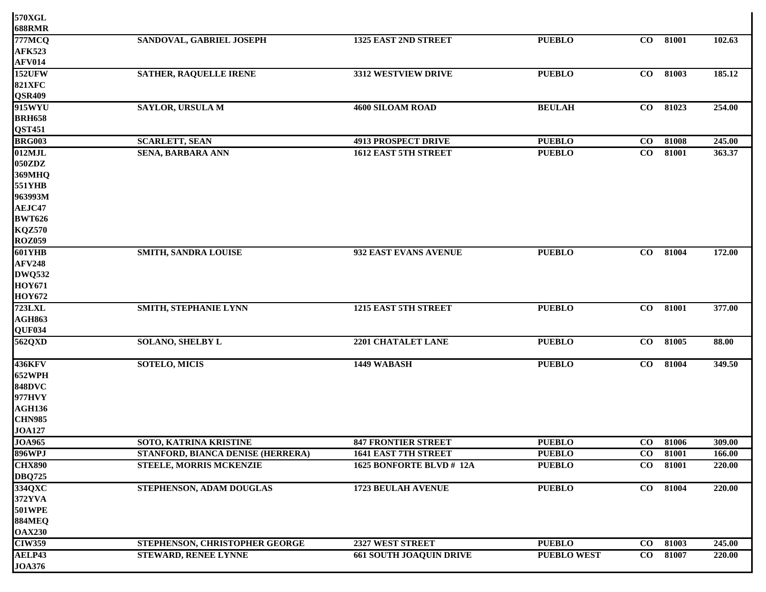| 570XGL        |                                   |                                |                    |           |       |        |
|---------------|-----------------------------------|--------------------------------|--------------------|-----------|-------|--------|
| <b>688RMR</b> |                                   |                                |                    |           |       |        |
| <b>777MCQ</b> | SANDOVAL, GABRIEL JOSEPH          | 1325 EAST 2ND STREET           | <b>PUEBLO</b>      | $\bf{CO}$ | 81001 | 102.63 |
| <b>AFK523</b> |                                   |                                |                    |           |       |        |
| <b>AFV014</b> |                                   |                                |                    |           |       |        |
| <b>152UFW</b> | <b>SATHER, RAQUELLE IRENE</b>     | 3312 WESTVIEW DRIVE            | <b>PUEBLO</b>      | $\bf{CO}$ | 81003 | 185.12 |
| <b>821XFC</b> |                                   |                                |                    |           |       |        |
| <b>QSR409</b> |                                   |                                |                    |           |       |        |
| 915WYU        | SAYLOR, URSULA M                  | <b>4600 SILOAM ROAD</b>        | <b>BEULAH</b>      | $\bf{CO}$ | 81023 | 254.00 |
| <b>BRH658</b> |                                   |                                |                    |           |       |        |
| <b>QST451</b> |                                   |                                |                    |           |       |        |
| <b>BRG003</b> | <b>SCARLETT, SEAN</b>             | <b>4913 PROSPECT DRIVE</b>     | <b>PUEBLO</b>      | $\bf CO$  | 81008 | 245.00 |
| 012MJL        | <b>SENA, BARBARA ANN</b>          | 1612 EAST 5TH STREET           | <b>PUEBLO</b>      | $\bf CO$  | 81001 | 363.37 |
| 050ZDZ        |                                   |                                |                    |           |       |        |
| <b>369MHQ</b> |                                   |                                |                    |           |       |        |
| <b>551YHB</b> |                                   |                                |                    |           |       |        |
| 963993M       |                                   |                                |                    |           |       |        |
| AEJC47        |                                   |                                |                    |           |       |        |
| <b>BWT626</b> |                                   |                                |                    |           |       |        |
| <b>KQZ570</b> |                                   |                                |                    |           |       |        |
| <b>ROZ059</b> |                                   |                                |                    |           |       |        |
| 601YHB        | SMITH, SANDRA LOUISE              | 932 EAST EVANS AVENUE          | <b>PUEBLO</b>      | $\bf{CO}$ | 81004 | 172.00 |
| <b>AFV248</b> |                                   |                                |                    |           |       |        |
| <b>DWQ532</b> |                                   |                                |                    |           |       |        |
| <b>HOY671</b> |                                   |                                |                    |           |       |        |
| <b>HOY672</b> |                                   |                                |                    |           |       |        |
| <b>723LXL</b> | <b>SMITH, STEPHANIE LYNN</b>      | 1215 EAST 5TH STREET           | <b>PUEBLO</b>      | $\bf CO$  | 81001 | 377.00 |
| <b>AGH863</b> |                                   |                                |                    |           |       |        |
| QUF034        |                                   |                                |                    |           |       |        |
| 562QXD        | <b>SOLANO, SHELBY L</b>           | 2201 CHATALET LANE             | <b>PUEBLO</b>      | $\bf{CO}$ | 81005 | 88.00  |
| <b>436KFV</b> | <b>SOTELO, MICIS</b>              | 1449 WABASH                    | <b>PUEBLO</b>      | $\bf{CO}$ | 81004 | 349.50 |
| <b>652WPH</b> |                                   |                                |                    |           |       |        |
| <b>848DVC</b> |                                   |                                |                    |           |       |        |
| 977HVY        |                                   |                                |                    |           |       |        |
| <b>AGH136</b> |                                   |                                |                    |           |       |        |
| <b>CHN985</b> |                                   |                                |                    |           |       |        |
| <b>JOA127</b> |                                   |                                |                    |           |       |        |
| <b>JOA965</b> | SOTO, KATRINA KRISTINE            | <b>847 FRONTIER STREET</b>     | <b>PUEBLO</b>      | $\bf{CO}$ | 81006 | 309.00 |
| <b>896WPJ</b> | STANFORD, BIANCA DENISE (HERRERA) | <b>1641 EAST 7TH STREET</b>    | <b>PUEBLO</b>      | $\bf{CO}$ | 81001 | 166.00 |
| <b>CHX890</b> | <b>STEELE, MORRIS MCKENZIE</b>    | 1625 BONFORTE BLVD # 12A       | <b>PUEBLO</b>      | $\bf CO$  | 81001 | 220.00 |
| <b>DBQ725</b> |                                   |                                |                    |           |       |        |
| 334QXC        | STEPHENSON, ADAM DOUGLAS          | <b>1723 BEULAH AVENUE</b>      | <b>PUEBLO</b>      | $\bf CO$  | 81004 | 220.00 |
| 372YVA        |                                   |                                |                    |           |       |        |
| <b>501WPE</b> |                                   |                                |                    |           |       |        |
| <b>884MEQ</b> |                                   |                                |                    |           |       |        |
| <b>OAX230</b> |                                   |                                |                    |           |       |        |
| <b>CIW359</b> | STEPHENSON, CHRISTOPHER GEORGE    | 2327 WEST STREET               | <b>PUEBLO</b>      | $\bf{CO}$ | 81003 | 245.00 |
| AELP43        | <b>STEWARD, RENEE LYNNE</b>       | <b>661 SOUTH JOAQUIN DRIVE</b> | <b>PUEBLO WEST</b> | $\bf CO$  | 81007 | 220.00 |
| <b>JOA376</b> |                                   |                                |                    |           |       |        |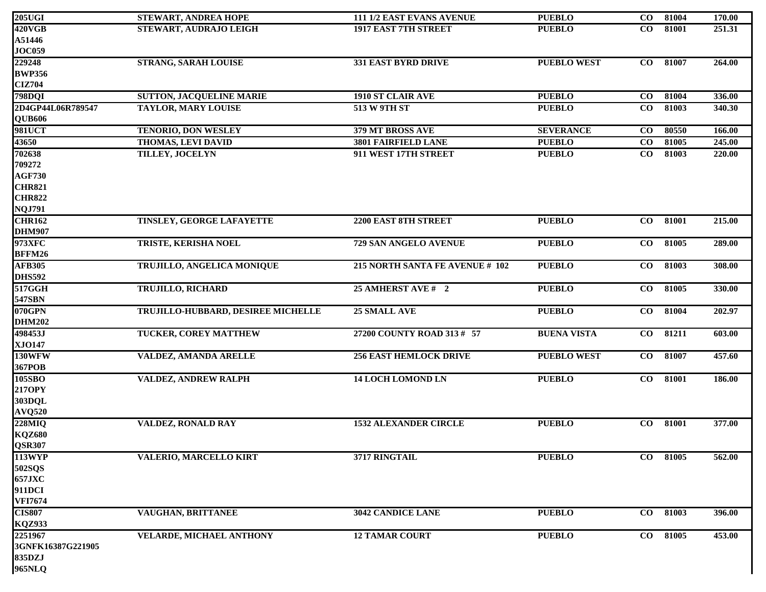| <b>205UGI</b>            | STEWART, ANDREA HOPE               | 111 1/2 EAST EVANS AVENUE       | <b>PUEBLO</b>      | $\bf CO$  | 81004    | 170.00 |
|--------------------------|------------------------------------|---------------------------------|--------------------|-----------|----------|--------|
| <b>420VGB</b>            | STEWART, AUDRAJO LEIGH             | <b>1917 EAST 7TH STREET</b>     | <b>PUEBLO</b>      | $\bf CO$  | 81001    | 251.31 |
| A51446                   |                                    |                                 |                    |           |          |        |
| <b>JOC059</b>            |                                    |                                 |                    |           |          |        |
| 229248                   | <b>STRANG, SARAH LOUISE</b>        | <b>331 EAST BYRD DRIVE</b>      | <b>PUEBLO WEST</b> | $\bf CO$  | 81007    | 264.00 |
| <b>BWP356</b>            |                                    |                                 |                    |           |          |        |
| <b>CIZ704</b>            |                                    |                                 |                    |           |          |        |
| <b>798DQI</b>            | <b>SUTTON, JACQUELINE MARIE</b>    | <b>1910 ST CLAIR AVE</b>        | <b>PUEBLO</b>      | $\bf CO$  | 81004    | 336.00 |
| 2D4GP44L06R789547        | <b>TAYLOR, MARY LOUISE</b>         | <b>513 W 9TH ST</b>             | <b>PUEBLO</b>      | $\bf{CO}$ | 81003    | 340.30 |
| QUB606                   |                                    |                                 |                    |           |          |        |
| 981UCT                   | <b>TENORIO, DON WESLEY</b>         | 379 MT BROSS AVE                | <b>SEVERANCE</b>   | $\bf{CO}$ | 80550    | 166.00 |
| 43650                    | THOMAS, LEVI DAVID                 | 3801 FAIRFIELD LANE             | <b>PUEBLO</b>      | $\bf CO$  | 81005    | 245.00 |
| 702638                   | TILLEY, JOCELYN                    | 911 WEST 17TH STREET            | <b>PUEBLO</b>      | $\bf CO$  | 81003    | 220.00 |
| 709272                   |                                    |                                 |                    |           |          |        |
| <b>AGF730</b>            |                                    |                                 |                    |           |          |        |
| <b>CHR821</b>            |                                    |                                 |                    |           |          |        |
| <b>CHR822</b>            |                                    |                                 |                    |           |          |        |
| <b>NQJ791</b>            |                                    |                                 |                    |           |          |        |
| <b>CHR162</b>            | TINSLEY, GEORGE LAFAYETTE          | 2200 EAST 8TH STREET            | <b>PUEBLO</b>      | $\bf CO$  | 81001    | 215.00 |
| <b>DHM907</b>            |                                    |                                 |                    |           |          |        |
| 973XFC                   | <b>TRISTE, KERISHA NOEL</b>        | 729 SAN ANGELO AVENUE           | <b>PUEBLO</b>      | $\bf{CO}$ | 81005    | 289.00 |
| BFFM26                   |                                    |                                 |                    |           |          |        |
| <b>AFB305</b>            | TRUJILLO, ANGELICA MONIQUE         | 215 NORTH SANTA FE AVENUE # 102 | <b>PUEBLO</b>      | $\bf CO$  | 81003    | 308.00 |
| <b>DHS592</b>            |                                    |                                 |                    |           |          |        |
| 517GGH                   | <b>TRUJILLO, RICHARD</b>           | 25 AMHERST AVE # 2              | <b>PUEBLO</b>      | $\bf CO$  | 81005    | 330.00 |
| 547SBN                   |                                    |                                 |                    |           |          |        |
| $070$ GPN                | TRUJILLO-HUBBARD, DESIREE MICHELLE | 25 SMALL AVE                    | <b>PUEBLO</b>      | $\bf CO$  | 81004    | 202.97 |
| <b>DHM202</b><br>498453J |                                    |                                 |                    |           |          |        |
| <b>XJO147</b>            | <b>TUCKER, COREY MATTHEW</b>       | 27200 COUNTY ROAD 313 # 57      | <b>BUENA VISTA</b> | $\bf CO$  | 81211    | 603.00 |
| 130WFW                   | VALDEZ, AMANDA ARELLE              | <b>256 EAST HEMLOCK DRIVE</b>   | <b>PUEBLO WEST</b> | $\bf CO$  | 81007    | 457.60 |
| 367POB                   |                                    |                                 |                    |           |          |        |
| 105SBO                   | VALDEZ, ANDREW RALPH               | <b>14 LOCH LOMOND LN</b>        | <b>PUEBLO</b>      | $\bf CO$  | 81001    | 186.00 |
| 217OPY                   |                                    |                                 |                    |           |          |        |
| 303DQL                   |                                    |                                 |                    |           |          |        |
| <b>AVQ520</b>            |                                    |                                 |                    |           |          |        |
| <b>228MIQ</b>            | <b>VALDEZ, RONALD RAY</b>          | <b>1532 ALEXANDER CIRCLE</b>    | <b>PUEBLO</b>      | $\bf CO$  | 81001    | 377.00 |
| <b>KQZ680</b>            |                                    |                                 |                    |           |          |        |
| <b>QSR307</b>            |                                    |                                 |                    |           |          |        |
| <b>113WYP</b>            | VALERIO, MARCELLO KIRT             | 3717 RINGTAIL                   | <b>PUEBLO</b>      | $\bf CO$  | 81005    | 562.00 |
| <b>502SQS</b>            |                                    |                                 |                    |           |          |        |
| <b>657JXC</b>            |                                    |                                 |                    |           |          |        |
| 911DCI                   |                                    |                                 |                    |           |          |        |
| <b>VFI7674</b>           |                                    |                                 |                    |           |          |        |
| <b>CIS807</b>            | VAUGHAN, BRITTANEE                 | 3042 CANDICE LANE               | <b>PUEBLO</b>      | $\bf CO$  | 81003    | 396.00 |
| <b>KQZ933</b>            |                                    |                                 |                    |           |          |        |
| 2251967                  | <b>VELARDE, MICHAEL ANTHONY</b>    | <b>12 TAMAR COURT</b>           | <b>PUEBLO</b>      |           | CO 81005 | 453.00 |
| 3GNFK16387G221905        |                                    |                                 |                    |           |          |        |
| 835DZJ                   |                                    |                                 |                    |           |          |        |
| 965NLQ                   |                                    |                                 |                    |           |          |        |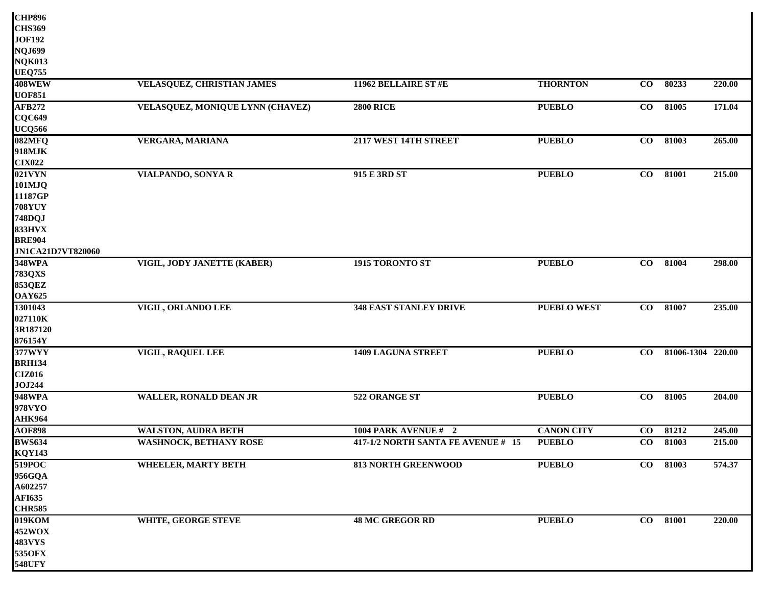| <b>CHP896</b>     |                                  |                                    |                    |          |                   |        |
|-------------------|----------------------------------|------------------------------------|--------------------|----------|-------------------|--------|
| <b>CHS369</b>     |                                  |                                    |                    |          |                   |        |
| <b>JOF192</b>     |                                  |                                    |                    |          |                   |        |
| <b>NQJ699</b>     |                                  |                                    |                    |          |                   |        |
| <b>NQK013</b>     |                                  |                                    |                    |          |                   |        |
| <b>UEQ755</b>     |                                  |                                    |                    |          |                   |        |
| <b>408WEW</b>     | VELASQUEZ, CHRISTIAN JAMES       | 11962 BELLAIRE ST #E               | <b>THORNTON</b>    | $\bf CO$ | 80233             | 220.00 |
| <b>UOF851</b>     |                                  |                                    |                    |          |                   |        |
| <b>AFB272</b>     | VELASQUEZ, MONIQUE LYNN (CHAVEZ) | <b>2800 RICE</b>                   | <b>PUEBLO</b>      | $\bf CO$ | 81005             | 171.04 |
| <b>CQC649</b>     |                                  |                                    |                    |          |                   |        |
| <b>UCQ566</b>     |                                  |                                    |                    |          |                   |        |
| 082MFQ            | <b>VERGARA, MARIANA</b>          | 2117 WEST 14TH STREET              | <b>PUEBLO</b>      | $\bf CO$ | 81003             | 265.00 |
| 918MJK            |                                  |                                    |                    |          |                   |        |
| <b>CIX022</b>     |                                  |                                    |                    |          |                   |        |
| $021$ VYN         | VIALPANDO, SONYA R               | 915 E 3RD ST                       | <b>PUEBLO</b>      | $\bf CO$ | 81001             | 215.00 |
| 101MJQ            |                                  |                                    |                    |          |                   |        |
| 11187GP           |                                  |                                    |                    |          |                   |        |
| <b>708YUY</b>     |                                  |                                    |                    |          |                   |        |
| 748DQJ            |                                  |                                    |                    |          |                   |        |
| <b>833HVX</b>     |                                  |                                    |                    |          |                   |        |
| <b>BRE904</b>     |                                  |                                    |                    |          |                   |        |
| JN1CA21D7VT820060 |                                  |                                    |                    |          |                   |        |
| 348WPA            | VIGIL, JODY JANETTE (KABER)      | 1915 TORONTO ST                    | <b>PUEBLO</b>      | $\bf CO$ | 81004             | 298.00 |
| <b>783QXS</b>     |                                  |                                    |                    |          |                   |        |
| <b>853QEZ</b>     |                                  |                                    |                    |          |                   |        |
| <b>OAY625</b>     |                                  |                                    |                    |          |                   |        |
| 1301043           | VIGIL, ORLANDO LEE               | <b>348 EAST STANLEY DRIVE</b>      | <b>PUEBLO WEST</b> | $\bf CO$ | 81007             | 235.00 |
| 027110K           |                                  |                                    |                    |          |                   |        |
| 3R187120          |                                  |                                    |                    |          |                   |        |
| 876154Y           |                                  |                                    |                    |          |                   |        |
| 377WYY            | VIGIL, RAQUEL LEE                | <b>1409 LAGUNA STREET</b>          | <b>PUEBLO</b>      | $\bf CO$ | 81006-1304 220.00 |        |
| <b>BRH134</b>     |                                  |                                    |                    |          |                   |        |
| <b>CIZ016</b>     |                                  |                                    |                    |          |                   |        |
| <b>JOJ244</b>     |                                  |                                    |                    |          |                   |        |
| 948WPA            | <b>WALLER, RONALD DEAN JR</b>    | 522 ORANGE ST                      | <b>PUEBLO</b>      | $\bf CO$ | 81005             | 204.00 |
| 978VYO            |                                  |                                    |                    |          |                   |        |
| <b>AHK964</b>     |                                  |                                    |                    |          |                   |        |
| <b>AOF898</b>     | <b>WALSTON, AUDRA BETH</b>       | 1004 PARK AVENUE #2                | <b>CANON CITY</b>  | $\bf CO$ | 81212             | 245.00 |
| <b>BWS634</b>     | <b>WASHNOCK, BETHANY ROSE</b>    | 417-1/2 NORTH SANTA FE AVENUE # 15 | <b>PUEBLO</b>      | $\bf CO$ | 81003             | 215.00 |
| <b>KQY143</b>     |                                  |                                    |                    |          |                   |        |
| 519POC            | <b>WHEELER, MARTY BETH</b>       | <b>813 NORTH GREENWOOD</b>         | <b>PUEBLO</b>      |          | CO 81003          | 574.37 |
| 956GQA            |                                  |                                    |                    |          |                   |        |
| A602257           |                                  |                                    |                    |          |                   |        |
| <b>AFI635</b>     |                                  |                                    |                    |          |                   |        |
| <b>CHR585</b>     |                                  |                                    |                    |          |                   |        |
| 019KOM            | <b>WHITE, GEORGE STEVE</b>       | <b>48 MC GREGOR RD</b>             | <b>PUEBLO</b>      |          | CO 81001          | 220.00 |
| 452WOX            |                                  |                                    |                    |          |                   |        |
| <b>483VYS</b>     |                                  |                                    |                    |          |                   |        |
| <b>535OFX</b>     |                                  |                                    |                    |          |                   |        |
| <b>548UFY</b>     |                                  |                                    |                    |          |                   |        |